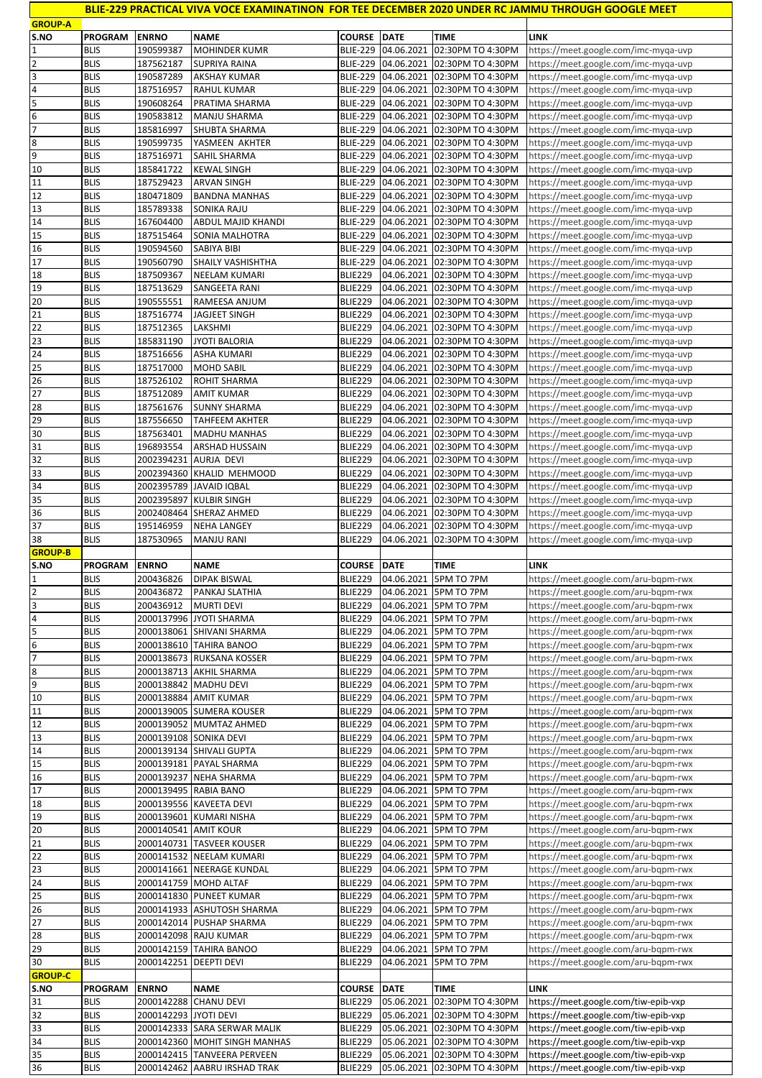|                                    |                            |                          |                                                              |                                    |                          |                                        | BLIE-229 PRACTICAL VIVA VOCE EXAMINATINON FOR TEE DECEMBER 2020 UNDER RC JAMMU THROUGH GOOGLE MEET |
|------------------------------------|----------------------------|--------------------------|--------------------------------------------------------------|------------------------------------|--------------------------|----------------------------------------|----------------------------------------------------------------------------------------------------|
| <b>GROUP-A</b>                     |                            |                          |                                                              |                                    |                          |                                        |                                                                                                    |
| S.NO                               | <b>PROGRAM</b>             | <b>ENRNO</b>             | <b>NAME</b>                                                  | <b>COURSE DATE</b>                 | 04.06.2021               | <b>TIME</b>                            | LINK                                                                                               |
| $\mathbf{1}$<br>$\mathbf 2$        | <b>BLIS</b><br><b>BLIS</b> | 190599387<br>187562187   | <b>MOHINDER KUMR</b><br>SUPRIYA RAINA                        | <b>BLIE-229</b><br><b>BLIE-229</b> | 04.06.2021               | 02:30PM TO 4:30PM<br>02:30PM TO 4:30PM | https://meet.google.com/imc-myqa-uvp                                                               |
| $\overline{\mathbf{3}}$            | <b>BLIS</b>                | 190587289                | <b>AKSHAY KUMAR</b>                                          | <b>BLIE-229</b>                    | 04.06.2021               | 02:30PM TO 4:30PM                      | https://meet.google.com/imc-myqa-uvp<br>https://meet.google.com/imc-myqa-uvp                       |
| 4                                  | <b>BLIS</b>                | 187516957                | <b>RAHUL KUMAR</b>                                           | <b>BLIE-229</b>                    | 04.06.2021               | 02:30PM TO 4:30PM                      | https://meet.google.com/imc-myqa-uvp                                                               |
| 5                                  | <b>BLIS</b>                | 190608264                | PRATIMA SHARMA                                               |                                    | BLIE-229 04.06.2021      | 02:30PM TO 4:30PM                      | https://meet.google.com/imc-myqa-uvp                                                               |
| 6                                  | <b>BLIS</b>                | 190583812                | MANJU SHARMA                                                 | <b>BLIE-229</b>                    | 04.06.2021               | 02:30PM TO 4:30PM                      | https://meet.google.com/imc-myqa-uvp                                                               |
| $\overline{7}$                     | <b>BLIS</b>                | 185816997                | SHUBTA SHARMA                                                | <b>BLIE-229</b>                    | 04.06.2021               | 02:30PM TO 4:30PM                      | https://meet.google.com/imc-myqa-uvp                                                               |
| 8                                  | <b>BLIS</b>                | 190599735                | YASMEEN AKHTER                                               | <b>BLIE-229</b>                    | 04.06.2021               | 02:30PM TO 4:30PM                      | https://meet.google.com/imc-myqa-uvp                                                               |
| 9                                  | <b>BLIS</b>                | 187516971                | SAHIL SHARMA                                                 | <b>BLIE-229</b>                    | 04.06.2021               | 02:30PM TO 4:30PM                      | https://meet.google.com/imc-myqa-uvp                                                               |
| 10                                 | <b>BLIS</b>                | 185841722                | <b>KEWAL SINGH</b>                                           | <b>BLIE-229</b>                    | 04.06.2021               | 02:30PM TO 4:30PM                      | https://meet.google.com/imc-myqa-uvp                                                               |
| $11\,$                             | <b>BLIS</b>                | 187529423                | <b>ARVAN SINGH</b>                                           | <b>BLIE-229</b>                    | 04.06.2021               | 02:30PM TO 4:30PM                      | https://meet.google.com/imc-myqa-uvp                                                               |
| 12<br>13                           | <b>BLIS</b><br><b>BLIS</b> | 180471809                | <b>BANDNA MANHAS</b><br>SONIKA RAJU                          |                                    | BLIE-229 04.06.2021      | 02:30PM TO 4:30PM                      | https://meet.google.com/imc-myqa-uvp                                                               |
| 14                                 | <b>BLIS</b>                | 185789338<br>167604400   | ABDUL MAJID KHANDI                                           | <b>BLIE-229</b><br><b>BLIE-229</b> | 04.06.2021<br>04.06.2021 | 02:30PM TO 4:30PM<br>02:30PM TO 4:30PM | https://meet.google.com/imc-myqa-uvp<br>https://meet.google.com/imc-myqa-uvp                       |
| 15                                 | <b>BLIS</b>                | 187515464                | SONIA MALHOTRA                                               | <b>BLIE-229</b>                    | 04.06.2021               | 02:30PM TO 4:30PM                      | https://meet.google.com/imc-myqa-uvp                                                               |
| 16                                 | <b>BLIS</b>                | 190594560                | SABIYA BIBI                                                  | <b>BLIE-229</b>                    | 04.06.2021               | 02:30PM TO 4:30PM                      | https://meet.google.com/imc-myqa-uvp                                                               |
| 17                                 | <b>BLIS</b>                | 190560790                | SHAILY VASHISHTHA                                            | <b>BLIE-229</b>                    | 04.06.2021               | 02:30PM TO 4:30PM                      | https://meet.google.com/imc-myqa-uvp                                                               |
| 18                                 | <b>BLIS</b>                | 187509367                | NEELAM KUMARI                                                | <b>BLIE229</b>                     | 04.06.2021               | 02:30PM TO 4:30PM                      | https://meet.google.com/imc-myqa-uvp                                                               |
| 19                                 | <b>BLIS</b>                | 187513629                | SANGEETA RANI                                                | <b>BLIE229</b>                     | 04.06.2021               | 02:30PM TO 4:30PM                      | https://meet.google.com/imc-myqa-uvp                                                               |
| 20                                 | <b>BLIS</b>                | 190555551                | RAMEESA ANJUM                                                | <b>BLIE229</b>                     | 04.06.2021               | 02:30PM TO 4:30PM                      | https://meet.google.com/imc-myqa-uvp                                                               |
| 21                                 | <b>BLIS</b>                | 187516774                | JAGJEET SINGH                                                | <b>BLIE229</b>                     | 04.06.2021               | 02:30PM TO 4:30PM                      | https://meet.google.com/imc-myqa-uvp                                                               |
| $\overline{22}$                    | <b>BLIS</b>                | 187512365                | LAKSHMI                                                      | <b>BLIE229</b>                     | 04.06.2021               | 02:30PM TO 4:30PM                      | https://meet.google.com/imc-myqa-uvp                                                               |
| 23                                 | <b>BLIS</b>                | 185831190                | JYOTI BALORIA                                                | <b>BLIE229</b>                     | 04.06.2021               | 02:30PM TO 4:30PM                      | https://meet.google.com/imc-myqa-uvp                                                               |
| 24<br>25                           | <b>BLIS</b>                | 187516656                | <b>ASHA KUMARI</b>                                           | <b>BLIE229</b>                     | 04.06.2021               | 02:30PM TO 4:30PM<br>02:30PM TO 4:30PM | https://meet.google.com/imc-myqa-uvp                                                               |
| 26                                 | <b>BLIS</b><br><b>BLIS</b> | 187517000<br>187526102   | <b>MOHD SABIL</b><br>ROHIT SHARMA                            | <b>BLIE229</b><br><b>BLIE229</b>   | 04.06.2021<br>04.06.2021 | 02:30PM TO 4:30PM                      | https://meet.google.com/imc-myqa-uvp<br>https://meet.google.com/imc-myqa-uvp                       |
| 27                                 | <b>BLIS</b>                | 187512089                | <b>AMIT KUMAR</b>                                            | <b>BLIE229</b>                     | 04.06.2021               | 02:30PM TO 4:30PM                      | https://meet.google.com/imc-myqa-uvp                                                               |
| 28                                 | <b>BLIS</b>                | 187561676                | <b>SUNNY SHARMA</b>                                          | <b>BLIE229</b>                     | 04.06.2021               | 02:30PM TO 4:30PM                      | https://meet.google.com/imc-myqa-uvp                                                               |
| 29                                 | <b>BLIS</b>                | 187556650                | <b>TAHFEEM AKHTER</b>                                        | <b>BLIE229</b>                     | 04.06.2021               | 02:30PM TO 4:30PM                      | https://meet.google.com/imc-myqa-uvp                                                               |
| $30\,$                             | <b>BLIS</b>                | 187563401                | <b>MADHU MANHAS</b>                                          | <b>BLIE229</b>                     | 04.06.2021               | 02:30PM TO 4:30PM                      | https://meet.google.com/imc-myqa-uvp                                                               |
| 31                                 | <b>BLIS</b>                | 196893554                | <b>ARSHAD HUSSAIN</b>                                        | <b>BLIE229</b>                     | 04.06.2021               | 02:30PM TO 4:30PM                      | https://meet.google.com/imc-myqa-uvp                                                               |
| 32                                 | <b>BLIS</b>                | 2002394231               | AURJA DEVI                                                   | <b>BLIE229</b>                     | 04.06.2021               | 02:30PM TO 4:30PM                      | https://meet.google.com/imc-myqa-uvp                                                               |
| 33                                 | <b>BLIS</b>                | 2002394360               | KHALID MEHMOOD                                               | BLIE229                            | 04.06.2021               | 02:30PM TO 4:30PM                      | https://meet.google.com/imc-myqa-uvp                                                               |
| 34                                 | <b>BLIS</b>                | 2002395789               | <b>JAVAID IQBAL</b>                                          | <b>BLIE229</b>                     | 04.06.2021               | 02:30PM TO 4:30PM                      | https://meet.google.com/imc-myqa-uvp                                                               |
| 35<br>36                           | <b>BLIS</b><br><b>BLIS</b> | 2002395897<br>2002408464 | <b>KULBIR SINGH</b><br>SHERAZ AHMED                          | <b>BLIE229</b><br><b>BLIE229</b>   | 04.06.2021<br>04.06.2021 | 02:30PM TO 4:30PM<br>02:30PM TO 4:30PM | https://meet.google.com/imc-myqa-uvp<br>https://meet.google.com/imc-myqa-uvp                       |
| 37                                 | <b>BLIS</b>                | 195146959                | <b>NEHA LANGEY</b>                                           | <b>BLIE229</b>                     | 04.06.2021               | 02:30PM TO 4:30PM                      | https://meet.google.com/imc-myqa-uvp                                                               |
| 38                                 | <b>BLIS</b>                |                          | <b>MANJU RANI</b>                                            |                                    |                          |                                        |                                                                                                    |
|                                    |                            |                          |                                                              |                                    |                          |                                        |                                                                                                    |
| <b>GROUP-B</b>                     |                            | 187530965                |                                                              | <b>BLIE229</b>                     | 04.06.2021               | 02:30PM TO 4:30PM                      | https://meet.google.com/imc-myqa-uvp                                                               |
| S.NO                               | <b>PROGRAM</b>             | <b>ENRNO</b>             | <b>NAME</b>                                                  | <b>COURSE DATE</b>                 |                          | TIME                                   | LINK                                                                                               |
| 1                                  | <b>BLIS</b>                | 200436826                | <b>DIPAK BISWAL</b>                                          | BLIE229                            |                          | 04.06.2021 5PM TO 7PM                  | https://meet.google.com/aru-bqpm-rwx                                                               |
| $\overline{2}$                     | <b>BLIS</b>                | 200436872                | PANKAJ SLATHIA                                               | <b>BLIE229</b>                     |                          | 04.06.2021 5PM TO 7PM                  | https://meet.google.com/aru-bqpm-rwx                                                               |
| 3                                  | <b>BLIS</b>                | 200436912                | <b>MURTI DEVI</b>                                            | BLIE229                            |                          | 04.06.2021 5PM TO 7PM                  | https://meet.google.com/aru-bqpm-rwx                                                               |
| $\pmb{4}$                          | <b>BLIS</b>                |                          | 2000137996 JYOTI SHARMA                                      | <b>BLIE229</b>                     | 04.06.2021               | 5PM TO 7PM                             | https://meet.google.com/aru-bqpm-rwx                                                               |
| 5                                  | <b>BLIS</b>                |                          | 2000138061 SHIVANI SHARMA                                    | <b>BLIE229</b>                     | 04.06.2021               | 5PM TO 7PM                             | https://meet.google.com/aru-bqpm-rwx                                                               |
|                                    | <b>BLIS</b>                |                          | 2000138610 TAHIRA BANOO                                      | BLIE229                            |                          | 04.06.2021 5PM TO 7PM                  | https://meet.google.com/aru-bqpm-rwx                                                               |
| $\overline{6}$<br>$\overline{7}$   | <b>BLIS</b><br><b>BLIS</b> |                          | 2000138673 RUKSANA KOSSER<br>2000138713 AKHIL SHARMA         | <b>BLIE229</b><br><b>BLIE229</b>   | 04.06.2021               | 5PM TO 7PM<br>04.06.2021 5PM TO 7PM    | https://meet.google.com/aru-bqpm-rwx                                                               |
| $\bf 8$<br>9                       | <b>BLIS</b>                |                          | 2000138842 MADHU DEVI                                        | <b>BLIE229</b>                     |                          | 04.06.2021 5PM TO 7PM                  | https://meet.google.com/aru-bqpm-rwx<br>https://meet.google.com/aru-bqpm-rwx                       |
| 10                                 | <b>BLIS</b>                |                          | 2000138884 AMIT KUMAR                                        | BLIE229                            | 04.06.2021               | 5PM TO 7PM                             | https://meet.google.com/aru-bqpm-rwx                                                               |
| 11                                 | <b>BLIS</b>                |                          | 2000139005 SUMERA KOUSER                                     | BLIE229                            | 04.06.2021               | 5PM TO 7PM                             | https://meet.google.com/aru-bqpm-rwx                                                               |
| 12                                 | <b>BLIS</b>                |                          | 2000139052 MUMTAZ AHMED                                      | <b>BLIE229</b>                     | 04.06.2021               | 5PM TO 7PM                             | https://meet.google.com/aru-bqpm-rwx                                                               |
| 13                                 | <b>BLIS</b>                |                          | 2000139108 SONIKA DEVI                                       | <b>BLIE229</b>                     | 04.06.2021               | 5PM TO 7PM                             | https://meet.google.com/aru-bqpm-rwx                                                               |
| 14                                 | <b>BLIS</b>                |                          | 2000139134 SHIVALI GUPTA                                     | <b>BLIE229</b>                     | 04.06.2021               | 5PM TO 7PM                             | https://meet.google.com/aru-bqpm-rwx                                                               |
| 15                                 | <b>BLIS</b>                |                          | 2000139181 PAYAL SHARMA                                      | <b>BLIE229</b>                     | 04.06.2021               | 5PM TO 7PM                             | https://meet.google.com/aru-bqpm-rwx                                                               |
|                                    | <b>BLIS</b>                |                          | 2000139237 NEHA SHARMA                                       | <b>BLIE229</b>                     |                          | 04.06.2021 5PM TO 7PM                  | https://meet.google.com/aru-bqpm-rwx                                                               |
| 16<br>17                           | <b>BLIS</b>                |                          | 2000139495 RABIA BANO                                        | <b>BLIE229</b>                     | 04.06.2021               | 5PM TO 7PM                             | https://meet.google.com/aru-bqpm-rwx                                                               |
|                                    | <b>BLIS</b><br><b>BLIS</b> |                          | 2000139556 KAVEETA DEVI<br>2000139601 KUMARI NISHA           | <b>BLIE229</b><br><b>BLIE229</b>   | 04.06.2021<br>04.06.2021 | 5PM TO 7PM<br>5PM TO 7PM               | https://meet.google.com/aru-bqpm-rwx<br>https://meet.google.com/aru-bqpm-rwx                       |
| 18<br>19<br>20                     | <b>BLIS</b>                | 2000140541 AMIT KOUR     |                                                              | <b>BLIE229</b>                     | 04.06.2021               | 5PM TO 7PM                             | https://meet.google.com/aru-bqpm-rwx                                                               |
|                                    | <b>BLIS</b>                |                          | 2000140731 TASVEER KOUSER                                    | <b>BLIE229</b>                     | 04.06.2021               | 5PM TO 7PM                             | https://meet.google.com/aru-bqpm-rwx                                                               |
|                                    | <b>BLIS</b>                |                          | 2000141532 NEELAM KUMARI                                     | <b>BLIE229</b>                     | 04.06.2021               | 5PM TO 7PM                             | https://meet.google.com/aru-bqpm-rwx                                                               |
|                                    | <b>BLIS</b>                |                          | 2000141661 NEERAGE KUNDAL                                    | <b>BLIE229</b>                     | 04.06.2021               | 5PM TO 7PM                             | https://meet.google.com/aru-bqpm-rwx                                                               |
| 21<br>22<br>23<br>24               | <b>BLIS</b>                |                          | 2000141759 MOHD ALTAF                                        | <b>BLIE229</b>                     | 04.06.2021               | 5PM TO 7PM                             | https://meet.google.com/aru-bqpm-rwx                                                               |
| 25                                 | <b>BLIS</b>                |                          | 2000141830 PUNEET KUMAR                                      | <b>BLIE229</b>                     | 04.06.2021               | 5PM TO 7PM                             | https://meet.google.com/aru-bqpm-rwx                                                               |
|                                    | <b>BLIS</b><br><b>BLIS</b> |                          | 2000141933 ASHUTOSH SHARMA<br>2000142014 PUSHAP SHARMA       | <b>BLIE229</b><br><b>BLIE229</b>   | 04.06.2021<br>04.06.2021 | 5PM TO 7PM<br>5PM TO 7PM               | https://meet.google.com/aru-bqpm-rwx                                                               |
| 26<br>27<br>28                     | <b>BLIS</b>                |                          | 2000142098 RAJU KUMAR                                        | <b>BLIE229</b>                     | 04.06.2021               | 5PM TO 7PM                             | https://meet.google.com/aru-bqpm-rwx<br>https://meet.google.com/aru-bqpm-rwx                       |
|                                    | <b>BLIS</b>                |                          | 2000142159 TAHIRA BANOO                                      | BLIE229                            | 04.06.2021               | 5PM TO 7PM                             | https://meet.google.com/aru-bqpm-rwx                                                               |
|                                    | <b>BLIS</b>                |                          | 2000142251 DEEPTI DEVI                                       | <b>BLIE229</b>                     | 04.06.2021               | 5PM TO 7PM                             | https://meet.google.com/aru-bqpm-rwx                                                               |
|                                    |                            |                          |                                                              |                                    |                          |                                        |                                                                                                    |
| 29<br>30<br><b>GROUP-C</b><br>S.NO | <b>PROGRAM</b>             | <b>ENRNO</b>             | <b>NAME</b>                                                  | <b>COURSE</b>                      | <b>DATE</b>              | TIME                                   | LINK                                                                                               |
| 31                                 | <b>BLIS</b>                |                          | 2000142288 CHANU DEVI                                        | BLIE229                            | 05.06.2021               | 02:30PM TO 4:30PM                      | https://meet.google.com/tiw-epib-vxp                                                               |
| 32                                 | <b>BLIS</b>                | 2000142293 JYOTI DEVI    |                                                              | <b>BLIE229</b>                     | 05.06.2021               | 02:30PM TO 4:30PM                      | https://meet.google.com/tiw-epib-vxp                                                               |
| 33                                 | <b>BLIS</b>                |                          | 2000142333 SARA SERWAR MALIK                                 | <b>BLIE229</b>                     | 05.06.2021               | 02:30PM TO 4:30PM<br>02:30PM TO 4:30PM | https://meet.google.com/tiw-epib-vxp                                                               |
| 34<br>35                           | <b>BLIS</b><br><b>BLIS</b> |                          | 2000142360 MOHIT SINGH MANHAS<br>2000142415 TANVEERA PERVEEN | BLIE229<br>BLIE229                 | 05.06.2021<br>05.06.2021 | 02:30PM TO 4:30PM                      | https://meet.google.com/tiw-epib-vxp<br>https://meet.google.com/tiw-epib-vxp                       |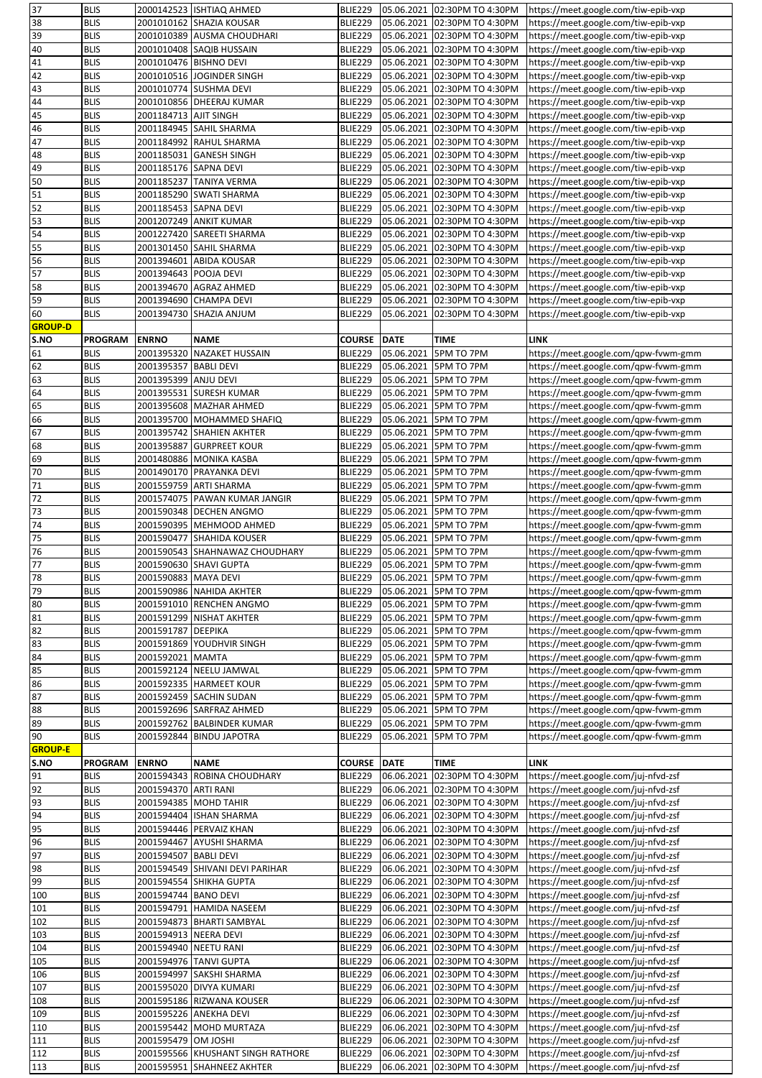| 37             | <b>BLIS</b>                |                       | 2000142523 ISHTIAQ AHMED                                        | BLIE229                   |                          | 05.06.2021 02:30PM TO 4:30PM           | https://meet.google.com/tiw-epib-vxp                                         |
|----------------|----------------------------|-----------------------|-----------------------------------------------------------------|---------------------------|--------------------------|----------------------------------------|------------------------------------------------------------------------------|
| 38             | <b>BLIS</b>                |                       | 2001010162 SHAZIA KOUSAR                                        | BLIE229                   | 05.06.2021               | 02:30PM TO 4:30PM                      | https://meet.google.com/tiw-epib-vxp                                         |
| 39             | <b>BLIS</b>                |                       | 2001010389 AUSMA CHOUDHARI                                      | <b>BLIE229</b>            | 05.06.2021               | 02:30PM TO 4:30PM                      | https://meet.google.com/tiw-epib-vxp                                         |
| 40             | <b>BLIS</b>                |                       | 2001010408 SAQIB HUSSAIN                                        | BLIE229                   | 05.06.2021               | 02:30PM TO 4:30PM                      | https://meet.google.com/tiw-epib-vxp                                         |
| 41             | <b>BLIS</b>                |                       | 2001010476 BISHNO DEVI                                          | <b>BLIE229</b>            | 05.06.2021               | 02:30PM TO 4:30PM                      | https://meet.google.com/tiw-epib-vxp                                         |
| 42             |                            |                       |                                                                 |                           |                          |                                        |                                                                              |
|                | <b>BLIS</b>                |                       | 2001010516 JOGINDER SINGH                                       | BLIE229                   | 05.06.2021               | 02:30PM TO 4:30PM                      | https://meet.google.com/tiw-epib-vxp                                         |
| 43             | <b>BLIS</b>                |                       | 2001010774 SUSHMA DEVI                                          | BLIE229                   | 05.06.2021               | 02:30PM TO 4:30PM                      | https://meet.google.com/tiw-epib-vxp                                         |
| 44             | <b>BLIS</b>                |                       | 2001010856 DHEERAJ KUMAR                                        | <b>BLIE229</b>            | 05.06.2021               | 02:30PM TO 4:30PM                      | https://meet.google.com/tiw-epib-vxp                                         |
| 45             | <b>BLIS</b>                | 2001184713 AJIT SINGH |                                                                 | <b>BLIE229</b>            | 05.06.2021               | 02:30PM TO 4:30PM                      | https://meet.google.com/tiw-epib-vxp                                         |
| 46             | <b>BLIS</b>                |                       | 2001184945 SAHIL SHARMA                                         | <b>BLIE229</b>            | 05.06.2021               | 02:30PM TO 4:30PM                      | https://meet.google.com/tiw-epib-vxp                                         |
| 47             | <b>BLIS</b>                |                       | 2001184992 RAHUL SHARMA                                         | <b>BLIE229</b>            | 05.06.2021               | 02:30PM TO 4:30PM                      | https://meet.google.com/tiw-epib-vxp                                         |
| 48             | <b>BLIS</b>                |                       | 2001185031 GANESH SINGH                                         | BLIE229                   | 05.06.2021               | 02:30PM TO 4:30PM                      | https://meet.google.com/tiw-epib-vxp                                         |
| 49             | <b>BLIS</b>                | 2001185176 SAPNA DEVI |                                                                 | BLIE229                   | 05.06.2021               | 02:30PM TO 4:30PM                      | https://meet.google.com/tiw-epib-vxp                                         |
| 50             | <b>BLIS</b>                |                       | 2001185237 TANIYA VERMA                                         | <b>BLIE229</b>            | 05.06.2021               |                                        |                                                                              |
|                |                            |                       |                                                                 |                           |                          | 02:30PM TO 4:30PM                      | https://meet.google.com/tiw-epib-vxp                                         |
| 51             | <b>BLIS</b>                |                       | 2001185290 SWATI SHARMA                                         | <b>BLIE229</b>            | 05.06.2021               | 02:30PM TO 4:30PM                      | https://meet.google.com/tiw-epib-vxp                                         |
| 52             | <b>BLIS</b>                | 2001185453 SAPNA DEVI |                                                                 | BLIE229                   | 05.06.2021               | 02:30PM TO 4:30PM                      | https://meet.google.com/tiw-epib-vxp                                         |
| 53             | <b>BLIS</b>                |                       | 2001207249 ANKIT KUMAR                                          | BLIE229                   | 05.06.2021               | 02:30PM TO 4:30PM                      | https://meet.google.com/tiw-epib-vxp                                         |
| 54             | <b>BLIS</b>                |                       | 2001227420 SAREETI SHARMA                                       | BLIE229                   | 05.06.2021               | 02:30PM TO 4:30PM                      | https://meet.google.com/tiw-epib-vxp                                         |
| 55             | <b>BLIS</b>                |                       | 2001301450 SAHIL SHARMA                                         | <b>BLIE229</b>            | 05.06.2021               | 02:30PM TO 4:30PM                      | https://meet.google.com/tiw-epib-vxp                                         |
| 56             | <b>BLIS</b>                |                       | 2001394601 ABIDA KOUSAR                                         | BLIE229                   | 05.06.2021               | 02:30PM TO 4:30PM                      | https://meet.google.com/tiw-epib-vxp                                         |
| 57             | <b>BLIS</b>                | 2001394643 POOJA DEVI |                                                                 | <b>BLIE229</b>            | 05.06.2021               | 02:30PM TO 4:30PM                      | https://meet.google.com/tiw-epib-vxp                                         |
| 58             | <b>BLIS</b>                |                       | 2001394670 AGRAZ AHMED                                          | <b>BLIE229</b>            | 05.06.2021               | 02:30PM TO 4:30PM                      | https://meet.google.com/tiw-epib-vxp                                         |
| 59             | <b>BLIS</b>                |                       | 2001394690 CHAMPA DEVI                                          | <b>BLIE229</b>            | 05.06.2021               | 02:30PM TO 4:30PM                      |                                                                              |
|                |                            |                       |                                                                 |                           |                          |                                        | https://meet.google.com/tiw-epib-vxp                                         |
| 60             | <b>BLIS</b>                |                       | 2001394730 SHAZIA ANJUM                                         | <b>BLIE229</b>            | 05.06.2021               | 02:30PM TO 4:30PM                      | https://meet.google.com/tiw-epib-vxp                                         |
| <b>GROUP-D</b> |                            |                       |                                                                 |                           |                          |                                        |                                                                              |
| S.NO           | <b>PROGRAM</b>             | <b>ENRNO</b>          | <b>NAME</b>                                                     | <b>COURSE</b>             | <b>DATE</b>              | <b>TIME</b>                            | LINK                                                                         |
| 61             | <b>BLIS</b>                |                       | 2001395320 NAZAKET HUSSAIN                                      | <b>BLIE229</b>            | 05.06.2021               | 5PM TO 7PM                             | https://meet.google.com/qpw-fvwm-gmm                                         |
| 62             | <b>BLIS</b>                | 2001395357 BABLI DEVI |                                                                 | <b>BLIE229</b>            | 05.06.2021               | 5PM TO 7PM                             | https://meet.google.com/qpw-fvwm-gmm                                         |
| 63             | <b>BLIS</b>                | 2001395399 ANJU DEVI  |                                                                 | <b>BLIE229</b>            | 05.06.2021               | 5PM TO 7PM                             | https://meet.google.com/qpw-fvwm-gmm                                         |
| 64             | <b>BLIS</b>                |                       | 2001395531 SURESH KUMAR                                         | BLIE229                   | 05.06.2021               | 5PM TO 7PM                             | https://meet.google.com/qpw-fvwm-gmm                                         |
| 65             | <b>BLIS</b>                |                       | 2001395608 MAZHAR AHMED                                         | <b>BLIE229</b>            | 05.06.2021               | 5PM TO 7PM                             | https://meet.google.com/qpw-fvwm-gmm                                         |
| 66             | <b>BLIS</b>                |                       | 2001395700 MOHAMMED SHAFIQ                                      | <b>BLIE229</b>            | 05.06.2021               | 5PM TO 7PM                             | https://meet.google.com/qpw-fvwm-gmm                                         |
| 67             |                            |                       |                                                                 |                           |                          |                                        |                                                                              |
|                | <b>BLIS</b>                |                       | 2001395742 SHAHIEN AKHTER                                       | <b>BLIE229</b>            | 05.06.2021               | 5PM TO 7PM                             | https://meet.google.com/qpw-fvwm-gmm                                         |
| 68             | <b>BLIS</b>                |                       | 2001395887 GURPREET KOUR                                        | BLIE229                   | 05.06.2021               | 5PM TO 7PM                             | https://meet.google.com/qpw-fvwm-gmm                                         |
| 69             | <b>BLIS</b>                |                       | 2001480886   MONIKA KASBA                                       | BLIE229                   | 05.06.2021               | 5PM TO 7PM                             | https://meet.google.com/qpw-fvwm-gmm                                         |
| 70             | <b>BLIS</b>                |                       | 2001490170 PRAYANKA DEVI                                        | <b>BLIE229</b>            | 05.06.2021               | 5PM TO 7PM                             | https://meet.google.com/qpw-fvwm-gmm                                         |
| 71             | <b>BLIS</b>                |                       | 2001559759  ARTI SHARMA                                         | BLIE229                   | 05.06.2021               | 5PM TO 7PM                             | https://meet.google.com/qpw-fvwm-gmm                                         |
| 72             | <b>BLIS</b>                |                       | 2001574075 PAWAN KUMAR JANGIR                                   | BLIE229                   | 05.06.2021               | 5PM TO 7PM                             | https://meet.google.com/qpw-fvwm-gmm                                         |
| 73             | <b>BLIS</b>                |                       | 2001590348 DECHEN ANGMO                                         | BLIE229                   | 05.06.2021               | 5PM TO 7PM                             | https://meet.google.com/qpw-fvwm-gmm                                         |
| 74             | <b>BLIS</b>                |                       | 2001590395 MEHMOOD AHMED                                        | <b>BLIE229</b>            | 05.06.2021               | 5PM TO 7PM                             | https://meet.google.com/qpw-fvwm-gmm                                         |
| 75             | <b>BLIS</b>                |                       | 2001590477 SHAHIDA KOUSER                                       | <b>BLIE229</b>            | 05.06.2021               | 5PM TO 7PM                             | https://meet.google.com/qpw-fvwm-gmm                                         |
| 76             | <b>BLIS</b>                |                       | 2001590543 SHAHNAWAZ CHOUDHARY                                  | <b>BLIE229</b>            | 05.06.2021               | 5PM TO 7PM                             |                                                                              |
|                |                            |                       |                                                                 |                           |                          |                                        | https://meet.google.com/qpw-fvwm-gmm                                         |
| 77             | <b>BLIS</b>                |                       | 2001590630 SHAVI GUPTA                                          | <b>BLIE229</b>            | 05.06.2021               | 5PM TO 7PM                             | https://meet.google.com/qpw-fvwm-gmm                                         |
| 78             | <b>BLIS</b>                | 2001590883 MAYA DEVI  |                                                                 | <b>BLIE229</b>            | 05.06.2021               | 5PM TO 7PM                             | https://meet.google.com/qpw-fvwm-gmm                                         |
| 79             | <b>BLIS</b>                |                       | 2001590986 NAHIDA AKHTER                                        | BLIE229                   | 05.06.2021               | 5PM TO 7PM                             | https://meet.google.com/qpw-fvwm-gmm                                         |
| 80             | <b>BLIS</b>                |                       | 2001591010 RENCHEN ANGMO                                        | <b>BLIE229</b>            | 05.06.2021               | 5PM TO 7PM                             | https://meet.google.com/qpw-fvwm-gmm                                         |
| 81             | <b>BLIS</b>                |                       | 2001591299 NISHAT AKHTER                                        | <b>BLIE229</b>            | 05.06.2021               | 5PM TO 7PM                             | https://meet.google.com/qpw-fvwm-gmm                                         |
| 82             | <b>BLIS</b>                | 2001591787 DEEPIKA    |                                                                 | <b>BLIE229</b>            | 05.06.2021               | 5PM TO 7PM                             | https://meet.google.com/qpw-fvwm-gmm                                         |
| 83             | <b>BLIS</b>                |                       | 2001591869 YOUDHVIR SINGH                                       | <b>BLIE229</b>            | 05.06.2021               | 5PM TO 7PM                             | https://meet.google.com/qpw-fvwm-gmm                                         |
| 84             | <b>BLIS</b>                | 2001592021 MAMTA      |                                                                 | <b>BLIE229</b>            | 05.06.2021               | 5PM TO 7PM                             | https://meet.google.com/qpw-fvwm-gmm                                         |
| 85             | <b>BLIS</b>                |                       | 2001592124 NEELU JAMWAL                                         | <b>BLIE229</b>            | 05.06.2021               | 5PM TO 7PM                             | https://meet.google.com/qpw-fvwm-gmm                                         |
| 86             | <b>BLIS</b>                |                       | 2001592335 HARMEET KOUR                                         | BLIE229                   | 05.06.2021               | 5PM TO 7PM                             | https://meet.google.com/qpw-fvwm-gmm                                         |
|                |                            |                       |                                                                 |                           |                          |                                        |                                                                              |
| 87             | <b>BLIS</b>                |                       | 2001592459 SACHIN SUDAN                                         | <b>BLIE229</b>            | 05.06.2021               | 5PM TO 7PM                             | https://meet.google.com/qpw-fvwm-gmm                                         |
| 88             | <b>BLIS</b>                |                       | 2001592696 SARFRAZ AHMED                                        | <b>BLIE229</b>            | 05.06.2021               | 5PM TO 7PM                             | https://meet.google.com/qpw-fvwm-gmm                                         |
| 89             | <b>BLIS</b>                |                       | 2001592762 BALBINDER KUMAR                                      | <b>BLIE229</b>            | 05.06.2021               | 5PM TO 7PM                             | https://meet.google.com/qpw-fvwm-gmm                                         |
| 90             | <b>BLIS</b>                |                       | 2001592844  BINDU JAPOTRA                                       | <b>BLIE229</b>            | 05.06.2021               | 5PM TO 7PM                             | https://meet.google.com/qpw-fvwm-gmm                                         |
| <b>GROUP-E</b> |                            |                       |                                                                 |                           |                          |                                        |                                                                              |
| S.NO           | <b>PROGRAM</b>             | <b>ENRNO</b>          | <b>NAME</b>                                                     | <b>COURSE</b>             | <b>DATE</b>              | <b>TIME</b>                            | <b>LINK</b>                                                                  |
| 91             | <b>BLIS</b>                |                       | 2001594343 ROBINA CHOUDHARY                                     | <b>BLIE229</b>            | 06.06.2021               | 02:30PM TO 4:30PM                      | https://meet.google.com/juj-nfvd-zsf                                         |
| 92             | <b>BLIS</b>                | 2001594370 ARTI RANI  |                                                                 | <b>BLIE229</b>            | 06.06.2021               | 02:30PM TO 4:30PM                      | https://meet.google.com/juj-nfvd-zsf                                         |
| 93             | <b>BLIS</b>                |                       | 2001594385 MOHD TAHIR                                           | BLIE229                   | 06.06.2021               | 02:30PM TO 4:30PM                      | https://meet.google.com/juj-nfvd-zsf                                         |
| 94             | <b>BLIS</b>                |                       | 2001594404 ISHAN SHARMA                                         | <b>BLIE229</b>            | 06.06.2021               | 02:30PM TO 4:30PM                      | https://meet.google.com/juj-nfvd-zsf                                         |
| 95             | <b>BLIS</b>                |                       | 2001594446 PERVAIZ KHAN                                         | <b>BLIE229</b>            | 06.06.2021               | 02:30PM TO 4:30PM                      | https://meet.google.com/juj-nfvd-zsf                                         |
|                |                            |                       |                                                                 |                           |                          |                                        |                                                                              |
| 96             | <b>BLIS</b>                |                       | 2001594467 AYUSHI SHARMA                                        | <b>BLIE229</b>            | 06.06.2021               | 02:30PM TO 4:30PM                      | https://meet.google.com/juj-nfvd-zsf                                         |
| 97             | <b>BLIS</b>                | 2001594507 BABLI DEVI |                                                                 | BLIE229                   | 06.06.2021               | 02:30PM TO 4:30PM                      | https://meet.google.com/juj-nfvd-zsf                                         |
| 98             | <b>BLIS</b>                |                       | 2001594549 SHIVANI DEVI PARIHAR                                 | <b>BLIE229</b>            | 06.06.2021               | 02:30PM TO 4:30PM                      | https://meet.google.com/juj-nfvd-zsf                                         |
| 99             | <b>BLIS</b>                |                       | 2001594554 SHIKHA GUPTA                                         | <b>BLIE229</b>            | 06.06.2021               | 02:30PM TO 4:30PM                      | https://meet.google.com/juj-nfvd-zsf                                         |
| 100            | <b>BLIS</b>                | 2001594744 BANO DEVI  |                                                                 | <b>BLIE229</b>            | 06.06.2021               | 02:30PM TO 4:30PM                      | https://meet.google.com/juj-nfvd-zsf                                         |
| 101            | <b>BLIS</b>                |                       | 2001594791 HAMIDA NASEEM                                        | <b>BLIE229</b>            | 06.06.2021               | 02:30PM TO 4:30PM                      | https://meet.google.com/juj-nfvd-zsf                                         |
| 102            | <b>BLIS</b>                |                       | 2001594873  BHARTI SAMBYAL                                      | BLIE229                   | 06.06.2021               | 02:30PM TO 4:30PM                      | https://meet.google.com/juj-nfvd-zsf                                         |
| 103            | <b>BLIS</b>                |                       | 2001594913 NEERA DEVI                                           | <b>BLIE229</b>            | 06.06.2021               | 02:30PM TO 4:30PM                      | https://meet.google.com/juj-nfvd-zsf                                         |
| 104            |                            |                       | 2001594940 NEETU RANI                                           | <b>BLIE229</b>            | 06.06.2021               | 02:30PM TO 4:30PM                      | https://meet.google.com/juj-nfvd-zsf                                         |
|                |                            |                       |                                                                 |                           |                          |                                        |                                                                              |
|                | <b>BLIS</b>                |                       |                                                                 |                           |                          |                                        |                                                                              |
| 105            | <b>BLIS</b>                |                       | 2001594976 TANVI GUPTA                                          | <b>BLIE229</b>            | 06.06.2021               | 02:30PM TO 4:30PM                      | https://meet.google.com/juj-nfvd-zsf                                         |
| 106            | <b>BLIS</b>                |                       | 2001594997 SAKSHI SHARMA                                        | <b>BLIE229</b>            | 06.06.2021               | 02:30PM TO 4:30PM                      | https://meet.google.com/juj-nfvd-zsf                                         |
| 107            | <b>BLIS</b>                |                       | 2001595020 DIVYA KUMARI                                         | <b>BLIE229</b>            | 06.06.2021               | 02:30PM TO 4:30PM                      | https://meet.google.com/juj-nfvd-zsf                                         |
| 108            | <b>BLIS</b>                |                       | 2001595186 RIZWANA KOUSER                                       | <b>BLIE229</b>            | 06.06.2021               | 02:30PM TO 4:30PM                      | https://meet.google.com/juj-nfvd-zsf                                         |
| 109            | <b>BLIS</b>                |                       | 2001595226 ANEKHA DEVI                                          | BLIE229                   | 06.06.2021               | 02:30PM TO 4:30PM                      | https://meet.google.com/juj-nfvd-zsf                                         |
|                | <b>BLIS</b>                |                       | 2001595442 MOHD MURTAZA                                         | <b>BLIE229</b>            | 06.06.2021               | 02:30PM TO 4:30PM                      | https://meet.google.com/juj-nfvd-zsf                                         |
| 110            |                            |                       |                                                                 |                           |                          |                                        |                                                                              |
| 111            | <b>BLIS</b>                | 2001595479 OM JOSHI   |                                                                 | <b>BLIE229</b>            | 06.06.2021               | 02:30PM TO 4:30PM                      | https://meet.google.com/juj-nfvd-zsf                                         |
| 112<br>113     | <b>BLIS</b><br><b>BLIS</b> |                       | 2001595566 KHUSHANT SINGH RATHORE<br>2001595951 SHAHNEEZ AKHTER | <b>BLIE229</b><br>BLIE229 | 06.06.2021<br>06.06.2021 | 02:30PM TO 4:30PM<br>02:30PM TO 4:30PM | https://meet.google.com/juj-nfvd-zsf<br>https://meet.google.com/juj-nfvd-zsf |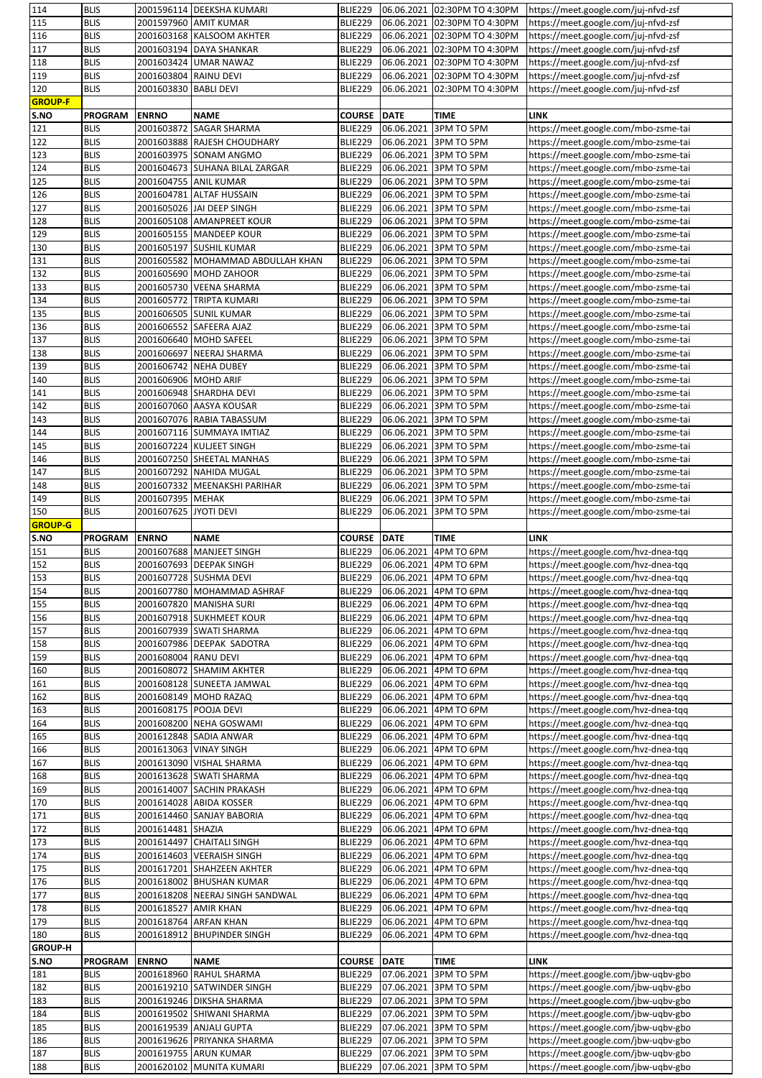| 114                                           | <b>BLIS</b>    |                       | 2001596114 DEEKSHA KUMARI         | BLIE229        |             | 06.06.2021 02:30PM TO 4:30PM | https://meet.google.com/juj-nfvd-zsf |
|-----------------------------------------------|----------------|-----------------------|-----------------------------------|----------------|-------------|------------------------------|--------------------------------------|
| 115                                           | <b>BLIS</b>    |                       | 2001597960 AMIT KUMAR             | BLIE229        | 06.06.2021  | 02:30PM TO 4:30PM            | https://meet.google.com/juj-nfvd-zsf |
| 116                                           | <b>BLIS</b>    |                       | 2001603168 KALSOOM AKHTER         | BLIE229        | 06.06.2021  | 02:30PM TO 4:30PM            | https://meet.google.com/juj-nfvd-zsf |
| 117                                           | <b>BLIS</b>    |                       | 2001603194 DAYA SHANKAR           | BLIE229        | 06.06.2021  | 02:30PM TO 4:30PM            | https://meet.google.com/juj-nfvd-zsf |
|                                               |                |                       |                                   |                |             |                              |                                      |
| 118                                           | <b>BLIS</b>    |                       | 2001603424 UMAR NAWAZ             | BLIE229        | 06.06.2021  | 02:30PM TO 4:30PM            | https://meet.google.com/juj-nfvd-zsf |
| 119                                           | <b>BLIS</b>    | 2001603804 RAINU DEVI |                                   | <b>BLIE229</b> | 06.06.2021  | 02:30PM TO 4:30PM            | https://meet.google.com/juj-nfvd-zsf |
| 120                                           | <b>BLIS</b>    | 2001603830 BABLI DEVI |                                   | <b>BLIE229</b> | 06.06.2021  | 02:30PM TO 4:30PM            | https://meet.google.com/juj-nfvd-zsf |
| <b>GROUP-F</b>                                |                |                       |                                   |                |             |                              |                                      |
| S.NO                                          | <b>PROGRAM</b> | <b>ENRNO</b>          | <b>NAME</b>                       | <b>COURSE</b>  | <b>DATE</b> | <b>TIME</b>                  | <b>LINK</b>                          |
| 121                                           | <b>BLIS</b>    | 2001603872            | <b>SAGAR SHARMA</b>               | <b>BLIE229</b> | 06.06.2021  | 3PM TO 5PM                   | https://meet.google.com/mbo-zsme-tai |
|                                               |                |                       |                                   |                |             |                              |                                      |
| 122                                           | <b>BLIS</b>    |                       | 2001603888 RAJESH CHOUDHARY       | BLIE229        | 06.06.2021  | 3PM TO 5PM                   | https://meet.google.com/mbo-zsme-tai |
| 123                                           | <b>BLIS</b>    |                       | 2001603975 SONAM ANGMO            | BLIE229        | 06.06.2021  | 3PM TO 5PM                   | https://meet.google.com/mbo-zsme-tai |
| 124                                           | <b>BLIS</b>    |                       | 2001604673 SUHANA BILAL ZARGAR    | BLIE229        | 06.06.2021  | 3PM TO 5PM                   | https://meet.google.com/mbo-zsme-tai |
| 125                                           | <b>BLIS</b>    |                       | 2001604755 ANIL KUMAR             | BLIE229        | 06.06.2021  | 3PM TO 5PM                   | https://meet.google.com/mbo-zsme-tai |
| 126                                           | <b>BLIS</b>    |                       | 2001604781 ALTAF HUSSAIN          | BLIE229        | 06.06.2021  | 3PM TO 5PM                   | https://meet.google.com/mbo-zsme-tai |
| 127                                           | <b>BLIS</b>    |                       | 2001605026 JAI DEEP SINGH         | <b>BLIE229</b> | 06.06.2021  | 3PM TO 5PM                   | https://meet.google.com/mbo-zsme-tai |
|                                               |                |                       |                                   |                |             |                              |                                      |
| 128                                           | <b>BLIS</b>    |                       | 2001605108 AMANPREET KOUR         | BLIE229        | 06.06.2021  | 3PM TO 5PM                   | https://meet.google.com/mbo-zsme-tai |
| 129                                           | <b>BLIS</b>    |                       | 2001605155 MANDEEP KOUR           | BLIE229        | 06.06.2021  | 3PM TO 5PM                   | https://meet.google.com/mbo-zsme-tai |
| 130                                           | <b>BLIS</b>    |                       | 2001605197 SUSHIL KUMAR           | BLIE229        | 06.06.2021  | 3PM TO 5PM                   | https://meet.google.com/mbo-zsme-tai |
| 131                                           | <b>BLIS</b>    |                       | 2001605582 MOHAMMAD ABDULLAH KHAN | BLIE229        | 06.06.2021  | 3PM TO 5PM                   | https://meet.google.com/mbo-zsme-tai |
| 132                                           | <b>BLIS</b>    |                       | 2001605690 MOHD ZAHOOR            | <b>BLIE229</b> | 06.06.2021  | 3PM TO 5PM                   | https://meet.google.com/mbo-zsme-tai |
| 133                                           | <b>BLIS</b>    |                       | 2001605730 VEENA SHARMA           | BLIE229        | 06.06.2021  | 3PM TO 5PM                   | https://meet.google.com/mbo-zsme-tai |
|                                               |                | 2001605772            |                                   |                |             |                              |                                      |
| 134                                           | <b>BLIS</b>    |                       | <b>TRIPTA KUMARI</b>              | <b>BLIE229</b> | 06.06.2021  | 3PM TO 5PM                   | https://meet.google.com/mbo-zsme-tai |
| 135                                           | <b>BLIS</b>    |                       | 2001606505 SUNIL KUMAR            | <b>BLIE229</b> | 06.06.2021  | 3PM TO 5PM                   | https://meet.google.com/mbo-zsme-tai |
| 136                                           | <b>BLIS</b>    |                       | 2001606552 SAFEERA AJAZ           | BLIE229        | 06.06.2021  | 3PM TO 5PM                   | https://meet.google.com/mbo-zsme-tai |
| 137                                           | <b>BLIS</b>    |                       | 2001606640 MOHD SAFEEL            | BLIE229        | 06.06.2021  | 3PM TO 5PM                   | https://meet.google.com/mbo-zsme-tai |
| 138                                           | <b>BLIS</b>    |                       | 2001606697 NEERAJ SHARMA          | BLIE229        | 06.06.2021  | 3PM TO 5PM                   | https://meet.google.com/mbo-zsme-tai |
| 139                                           | <b>BLIS</b>    |                       | 2001606742 NEHA DUBEY             | BLIE229        | 06.06.2021  | 3PM TO 5PM                   | https://meet.google.com/mbo-zsme-tai |
| 140                                           | <b>BLIS</b>    | 2001606906 MOHD ARIF  |                                   | <b>BLIE229</b> | 06.06.2021  | 3PM TO 5PM                   | https://meet.google.com/mbo-zsme-tai |
| 141                                           | <b>BLIS</b>    |                       | 2001606948 SHARDHA DEVI           | BLIE229        | 06.06.2021  | 3PM TO 5PM                   | https://meet.google.com/mbo-zsme-tai |
| 142                                           | <b>BLIS</b>    |                       | 2001607060 AASYA KOUSAR           | BLIE229        | 06.06.2021  | 3PM TO 5PM                   |                                      |
|                                               |                |                       |                                   |                |             |                              | https://meet.google.com/mbo-zsme-tai |
| 143                                           | <b>BLIS</b>    |                       | 2001607076 RABIA TABASSUM         | BLIE229        | 06.06.2021  | 3PM TO 5PM                   | https://meet.google.com/mbo-zsme-tai |
| 144                                           | <b>BLIS</b>    |                       | 2001607116 SUMMAYA IMTIAZ         | BLIE229        | 06.06.2021  | 3PM TO 5PM                   | https://meet.google.com/mbo-zsme-tai |
| 145                                           | <b>BLIS</b>    |                       | 2001607224 KULJEET SINGH          | BLIE229        | 06.06.2021  | 3PM TO 5PM                   | https://meet.google.com/mbo-zsme-tai |
| 146                                           | <b>BLIS</b>    |                       | 2001607250 SHEETAL MANHAS         | BLIE229        | 06.06.2021  | 3PM TO 5PM                   | https://meet.google.com/mbo-zsme-tai |
| 147                                           | <b>BLIS</b>    |                       | 2001607292 NAHIDA MUGAL           | BLIE229        | 06.06.2021  | 3PM TO 5PM                   | https://meet.google.com/mbo-zsme-tai |
| 148                                           | <b>BLIS</b>    |                       | 2001607332 MEENAKSHI PARIHAR      | <b>BLIE229</b> | 06.06.2021  | 3PM TO 5PM                   | https://meet.google.com/mbo-zsme-tai |
| 149                                           | <b>BLIS</b>    | 2001607395 MEHAK      |                                   | BLIE229        | 06.06.2021  | 3PM TO 5PM                   | https://meet.google.com/mbo-zsme-tai |
| 150                                           | <b>BLIS</b>    | 2001607625 JYOTI DEVI |                                   | <b>BLIE229</b> | 06.06.2021  | 3PM TO 5PM                   | https://meet.google.com/mbo-zsme-tai |
| <b>GROUP-G</b>                                |                |                       |                                   |                |             |                              |                                      |
|                                               |                |                       |                                   |                |             |                              |                                      |
|                                               |                |                       |                                   |                |             |                              |                                      |
| S.NO                                          | <b>PROGRAM</b> | <b>ENRNO</b>          | <b>NAME</b>                       | <b>COURSE</b>  | <b>DATE</b> | <b>TIME</b>                  | <b>LINK</b>                          |
| 151                                           | <b>BLIS</b>    |                       | 2001607688 MANJEET SINGH          | <b>BLIE229</b> | 06.06.2021  | 4PM TO 6PM                   | https://meet.google.com/hvz-dnea-tqq |
|                                               | <b>BLIS</b>    |                       | 2001607693 DEEPAK SINGH           | BLIE229        | 06.06.2021  | 4PM TO 6PM                   | https://meet.google.com/hvz-dnea-tqq |
| 152<br>153                                    | <b>BLIS</b>    |                       | 2001607728 SUSHMA DEVI            | <b>BLIE229</b> | 06.06.2021  | 4PM TO 6PM                   | https://meet.google.com/hvz-dnea-tqq |
| 154                                           | <b>BLIS</b>    |                       | 2001607780 MOHAMMAD ASHRAF        | BLIE229        | 06.06.2021  | 4PM TO 6PM                   | https://meet.google.com/hvz-dnea-tqq |
| 155                                           | <b>BLIS</b>    |                       | 2001607820 MANISHA SURI           | BLIE229        | 06.06.2021  | 4PM TO 6PM                   | https://meet.google.com/hvz-dnea-tqq |
| 156                                           | <b>BLIS</b>    |                       | 2001607918 SUKHMEET KOUR          | BLIE229        | 06.06.2021  | 4PM TO 6PM                   | https://meet.google.com/hvz-dnea-tqq |
| 157                                           | <b>BLIS</b>    |                       | 2001607939 SWATI SHARMA           | BLIE229        | 06.06.2021  | 4PM TO 6PM                   | https://meet.google.com/hvz-dnea-tqq |
|                                               | <b>BLIS</b>    |                       |                                   |                |             |                              |                                      |
| 158                                           | <b>BLIS</b>    |                       | 2001607986 DEEPAK SADOTRA         | BLIE229        | 06.06.2021  | 4PM TO 6PM                   | https://meet.google.com/hvz-dnea-tqq |
|                                               |                | 2001608004 RANU DEVI  |                                   | BLIE229        | 06.06.2021  | 4PM TO 6PM                   | https://meet.google.com/hvz-dnea-tqq |
|                                               | <b>BLIS</b>    |                       | 2001608072 SHAMIM AKHTER          | BLIE229        | 06.06.2021  | 4PM TO 6PM                   | https://meet.google.com/hvz-dnea-tqq |
| 161                                           | <b>BLIS</b>    |                       | 2001608128 SUNEETA JAMWAL         | BLIE229        | 06.06.2021  | 4PM TO 6PM                   | https://meet.google.com/hvz-dnea-tqq |
| 159<br>160<br>162                             | <b>BLIS</b>    |                       | 2001608149 MOHD RAZAQ             | <b>BLIE229</b> | 06.06.2021  | 4PM TO 6PM                   | https://meet.google.com/hvz-dnea-tqq |
| 163                                           | <b>BLIS</b>    | 2001608175 POOJA DEVI |                                   | BLIE229        | 06.06.2021  | 4PM TO 6PM                   | https://meet.google.com/hvz-dnea-tqq |
| 164                                           | <b>BLIS</b>    |                       | 2001608200 NEHA GOSWAMI           | BLIE229        | 06.06.2021  | 4PM TO 6PM                   | https://meet.google.com/hvz-dnea-tqq |
| 165                                           | <b>BLIS</b>    |                       | 2001612848 SADIA ANWAR            | BLIE229        | 06.06.2021  | 4PM TO 6PM                   | https://meet.google.com/hvz-dnea-tqq |
|                                               | <b>BLIS</b>    |                       | 2001613063 VINAY SINGH            | BLIE229        | 06.06.2021  | 4PM TO 6PM                   | https://meet.google.com/hvz-dnea-tqq |
|                                               | <b>BLIS</b>    |                       | 2001613090 VISHAL SHARMA          | BLIE229        | 06.06.2021  | 4PM TO 6PM                   | https://meet.google.com/hvz-dnea-tqq |
| 168                                           | <b>BLIS</b>    |                       | 2001613628 SWATI SHARMA           |                | 06.06.2021  | 4PM TO 6PM                   |                                      |
|                                               |                |                       |                                   | <b>BLIE229</b> |             |                              | https://meet.google.com/hvz-dnea-tqq |
|                                               | <b>BLIS</b>    |                       | 2001614007 SACHIN PRAKASH         | BLIE229        | 06.06.2021  | 4PM TO 6PM                   | https://meet.google.com/hvz-dnea-tqq |
| 170                                           | <b>BLIS</b>    |                       | 2001614028 ABIDA KOSSER           | <b>BLIE229</b> | 06.06.2021  | 4PM TO 6PM                   | https://meet.google.com/hvz-dnea-tqq |
|                                               | <b>BLIS</b>    |                       | 2001614460 SANJAY BABORIA         | BLIE229        | 06.06.2021  | 4PM TO 6PM                   | https://meet.google.com/hvz-dnea-tqq |
|                                               | <b>BLIS</b>    | 2001614481            | SHAZIA                            | BLIE229        | 06.06.2021  | 4PM TO 6PM                   | https://meet.google.com/hvz-dnea-tqq |
|                                               | <b>BLIS</b>    | 2001614497            | <b>CHAITALI SINGH</b>             | BLIE229        | 06.06.2021  | 4PM TO 6PM                   | https://meet.google.com/hvz-dnea-tqq |
| 166<br>167<br>169<br>171<br>172<br>173<br>174 | <b>BLIS</b>    | 2001614603            | <b>VEERAISH SINGH</b>             | BLIE229        | 06.06.2021  | 4PM TO 6PM                   | https://meet.google.com/hvz-dnea-tqq |
|                                               | <b>BLIS</b>    |                       | 2001617201 SHAHZEEN AKHTER        | BLIE229        | 06.06.2021  | 4PM TO 6PM                   | https://meet.google.com/hvz-dnea-tqq |
|                                               | <b>BLIS</b>    |                       | 2001618002 BHUSHAN KUMAR          | BLIE229        | 06.06.2021  | 4PM TO 6PM                   | https://meet.google.com/hvz-dnea-tqq |
| 175<br>176<br>177                             | <b>BLIS</b>    |                       | 2001618208 NEERAJ SINGH SANDWAL   | BLIE229        | 06.06.2021  | 4PM TO 6PM                   | https://meet.google.com/hvz-dnea-tqq |
| 178                                           | <b>BLIS</b>    | 2001618527            | <b>AMIR KHAN</b>                  | BLIE229        | 06.06.2021  | 4PM TO 6PM                   | https://meet.google.com/hvz-dnea-tqq |
|                                               |                |                       |                                   |                |             |                              |                                      |
| 179                                           | <b>BLIS</b>    |                       | 2001618764 ARFAN KHAN             | BLIE229        | 06.06.2021  | 4PM TO 6PM                   | https://meet.google.com/hvz-dnea-tqq |
|                                               | <b>BLIS</b>    | 2001618912            | <b>BHUPINDER SINGH</b>            | <b>BLIE229</b> | 06.06.2021  | 4PM TO 6PM                   | https://meet.google.com/hvz-dnea-tqq |
| 180<br><b>GROUP-H</b>                         |                |                       |                                   |                |             |                              |                                      |
|                                               | <b>PROGRAM</b> | <b>ENRNO</b>          | NAME                              | <b>COURSE</b>  | <b>DATE</b> | <b>TIME</b>                  | <b>LINK</b>                          |
| 181                                           | <b>BLIS</b>    |                       | 2001618960 RAHUL SHARMA           | BLIE229        | 07.06.2021  | 3PM TO 5PM                   | https://meet.google.com/jbw-uqbv-gbo |
|                                               | <b>BLIS</b>    |                       | 2001619210 SATWINDER SINGH        | BLIE229        | 07.06.2021  | 3PM TO 5PM                   | https://meet.google.com/jbw-uqbv-gbo |
| S.NO<br>182<br>183                            | <b>BLIS</b>    | 2001619246            | <b>DIKSHA SHARMA</b>              | BLIE229        | 07.06.2021  | 3PM TO 5PM                   | https://meet.google.com/jbw-uqbv-gbo |
| 184                                           | <b>BLIS</b>    |                       | 2001619502 SHIWANI SHARMA         | BLIE229        | 07.06.2021  | 3PM TO 5PM                   | https://meet.google.com/jbw-uqbv-gbo |
| 185                                           | <b>BLIS</b>    | 2001619539            | <b>ANJALI GUPTA</b>               | <b>BLIE229</b> | 07.06.2021  | 3PM TO 5PM                   | https://meet.google.com/jbw-uqbv-gbo |
| 186                                           | <b>BLIS</b>    |                       | 2001619626 PRIYANKA SHARMA        | <b>BLIE229</b> | 07.06.2021  | 3PM TO 5PM                   | https://meet.google.com/jbw-uqbv-gbo |
| 187                                           | <b>BLIS</b>    |                       | 2001619755 ARUN KUMAR             | BLIE229        | 07.06.2021  | 3PM TO 5PM                   | https://meet.google.com/jbw-uqbv-gbo |
| 188                                           | <b>BLIS</b>    |                       | 2001620102 MUNITA KUMARI          | BLIE229        | 07.06.2021  | 3PM TO 5PM                   | https://meet.google.com/jbw-uqbv-gbo |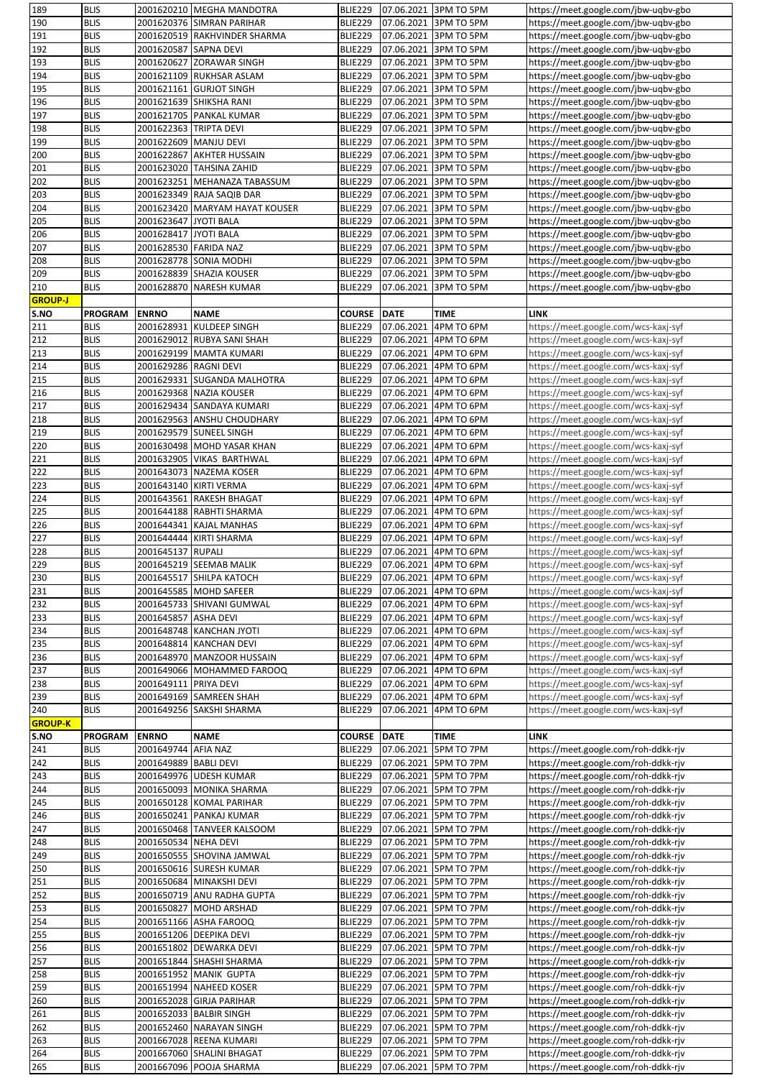|                | <b>BLIS</b>    |                         | 2001620210 MEGHA MANDOTRA      | BLIE229        |             | 07.06.2021 3PM TO 5PM | https://meet.google.com/jbw-uqbv-gbo                                         |
|----------------|----------------|-------------------------|--------------------------------|----------------|-------------|-----------------------|------------------------------------------------------------------------------|
| 190            | <b>BLIS</b>    |                         | 2001620376 SIMRAN PARIHAR      | BLIE229        |             | 07.06.2021 3PM TO 5PM | https://meet.google.com/jbw-uqbv-gbo                                         |
| 191            | <b>BLIS</b>    |                         | 2001620519 RAKHVINDER SHARMA   | BLIE229        | 07.06.2021  | 3PM TO 5PM            | https://meet.google.com/jbw-uqbv-gbo                                         |
| 192            | <b>BLIS</b>    | 2001620587 SAPNA DEVI   |                                | BLIE229        | 07.06.2021  | 3PM TO 5PM            | https://meet.google.com/jbw-uqbv-gbo                                         |
| 193            | <b>BLIS</b>    |                         | 2001620627 ZORAWAR SINGH       | BLIE229        | 07.06.2021  | 3PM TO 5PM            | https://meet.google.com/jbw-uqbv-gbo                                         |
|                |                |                         |                                |                |             |                       |                                                                              |
| 194            | <b>BLIS</b>    |                         | 2001621109 RUKHSAR ASLAM       | BLIE229        | 07.06.2021  | 3PM TO 5PM            | https://meet.google.com/jbw-uqbv-gbo                                         |
| 195            | <b>BLIS</b>    |                         | 2001621161 GURJOT SINGH        | <b>BLIE229</b> | 07.06.2021  | 3PM TO 5PM            | https://meet.google.com/jbw-uqbv-gbo                                         |
| 196            | <b>BLIS</b>    |                         | 2001621639 SHIKSHA RANI        | <b>BLIE229</b> | 07.06.2021  | 3PM TO 5PM            | https://meet.google.com/jbw-uqbv-gbo                                         |
| 197            | <b>BLIS</b>    |                         | 2001621705 PANKAL KUMAR        | BLIE229        | 07.06.2021  | 3PM TO 5PM            | https://meet.google.com/jbw-uqbv-gbo                                         |
| 198            | <b>BLIS</b>    | 2001622363  TRIPTA DEVI |                                | BLIE229        | 07.06.2021  | 3PM TO 5PM            | https://meet.google.com/jbw-uqbv-gbo                                         |
| 199            | <b>BLIS</b>    | 2001622609 MANJU DEVI   |                                | <b>BLIE229</b> | 07.06.2021  | 3PM TO 5PM            | https://meet.google.com/jbw-uqbv-gbo                                         |
| 200            | <b>BLIS</b>    |                         | 2001622867 AKHTER HUSSAIN      | BLIE229        | 07.06.2021  | 3PM TO 5PM            | https://meet.google.com/jbw-uqbv-gbo                                         |
| 201            | <b>BLIS</b>    |                         | 2001623020 TAHSINA ZAHID       | BLIE229        | 07.06.2021  | 3PM TO 5PM            | https://meet.google.com/jbw-uqbv-gbo                                         |
| 202            | <b>BLIS</b>    |                         | 2001623251 MEHANAZA TABASSUM   | <b>BLIE229</b> | 07.06.2021  | 3PM TO 5PM            | https://meet.google.com/jbw-uqbv-gbo                                         |
|                |                |                         |                                |                |             |                       |                                                                              |
| 203            | <b>BLIS</b>    |                         | 2001623349 RAJA SAQIB DAR      | <b>BLIE229</b> | 07.06.2021  | 3PM TO 5PM            | https://meet.google.com/jbw-uqbv-gbo                                         |
| 204            | <b>BLIS</b>    |                         | 2001623420 MARYAM HAYAT KOUSER | BLIE229        | 07.06.2021  | 3PM TO 5PM            | https://meet.google.com/jbw-uqbv-gbo                                         |
| 205            | <b>BLIS</b>    | 2001623647 JYOTI BALA   |                                | BLIE229        | 07.06.2021  | 3PM TO 5PM            | https://meet.google.com/jbw-uqbv-gbo                                         |
| 206            | <b>BLIS</b>    | 2001628417 JYOTI BALA   |                                | BLIE229        | 07.06.2021  | 3PM TO 5PM            | https://meet.google.com/jbw-uqbv-gbo                                         |
| 207            | <b>BLIS</b>    | 2001628530 FARIDA NAZ   |                                | <b>BLIE229</b> | 07.06.2021  | 3PM TO 5PM            | https://meet.google.com/jbw-uqbv-gbo                                         |
| 208            | <b>BLIS</b>    |                         | 2001628778 SONIA MODHI         | BLIE229        | 07.06.2021  | 3PM TO 5PM            | https://meet.google.com/jbw-uqbv-gbo                                         |
| 209            | <b>BLIS</b>    |                         | 2001628839 SHAZIA KOUSER       | <b>BLIE229</b> | 07.06.2021  | 3PM TO 5PM            | https://meet.google.com/jbw-uqbv-gbo                                         |
| 210            | <b>BLIS</b>    |                         | 2001628870 NARESH KUMAR        | <b>BLIE229</b> | 07.06.2021  | 3PM TO 5PM            | https://meet.google.com/jbw-uqbv-gbo                                         |
| <b>GROUP-J</b> |                |                         |                                |                |             |                       |                                                                              |
|                |                |                         |                                |                |             |                       |                                                                              |
| S.NO           | <b>PROGRAM</b> | <b>ENRNO</b>            | <b>NAME</b>                    | <b>COURSE</b>  | <b>DATE</b> | <b>TIME</b>           | LINK                                                                         |
| 211            | <b>BLIS</b>    |                         | 2001628931 KULDEEP SINGH       | BLIE229        | 07.06.2021  | 4PM TO 6PM            | https://meet.google.com/wcs-kaxj-syf                                         |
| 212            | <b>BLIS</b>    |                         | 2001629012 RUBYA SANI SHAH     | BLIE229        | 07.06.2021  | 4PM TO 6PM            | https://meet.google.com/wcs-kaxj-syf                                         |
| 213            | <b>BLIS</b>    |                         | 2001629199 MAMTA KUMARI        | BLIE229        | 07.06.2021  | 4PM TO 6PM            | https://meet.google.com/wcs-kaxj-syf                                         |
| 214            | <b>BLIS</b>    | 2001629286 RAGNI DEVI   |                                | BLIE229        | 07.06.2021  | 4PM TO 6PM            | https://meet.google.com/wcs-kaxj-syf                                         |
| 215            | <b>BLIS</b>    |                         | 2001629331 SUGANDA MALHOTRA    | <b>BLIE229</b> | 07.06.2021  | 4PM TO 6PM            | https://meet.google.com/wcs-kaxj-syf                                         |
| 216            | <b>BLIS</b>    |                         | 2001629368 NAZIA KOUSER        | <b>BLIE229</b> | 07.06.2021  | 4PM TO 6PM            | https://meet.google.com/wcs-kaxj-syf                                         |
| 217            | <b>BLIS</b>    |                         | 2001629434 SANDAYA KUMARI      | <b>BLIE229</b> | 07.06.2021  | 4PM TO 6PM            | https://meet.google.com/wcs-kaxj-syf                                         |
|                |                |                         |                                |                |             |                       |                                                                              |
| 218            | <b>BLIS</b>    |                         | 2001629563 ANSHU CHOUDHARY     | <b>BLIE229</b> | 07.06.2021  | 4PM TO 6PM            | https://meet.google.com/wcs-kaxj-syf                                         |
| 219            | <b>BLIS</b>    |                         | 2001629579 SUNEEL SINGH        | BLIE229        | 07.06.2021  | 4PM TO 6PM            | https://meet.google.com/wcs-kaxj-syf                                         |
| 220            | <b>BLIS</b>    |                         | 2001630498  MOHD YASAR KHAN    | BLIE229        | 07.06.2021  | 4PM TO 6PM            | https://meet.google.com/wcs-kaxj-syf                                         |
| 221            | <b>BLIS</b>    |                         | 2001632905 VIKAS BARTHWAL      | BLIE229        | 07.06.2021  | 4PM TO 6PM            | https://meet.google.com/wcs-kaxj-syf                                         |
| 222            | <b>BLIS</b>    |                         | 2001643073 NAZEMA KOSER        | <b>BLIE229</b> | 07.06.2021  | 4PM TO 6PM            | https://meet.google.com/wcs-kaxj-syf                                         |
| 223            | <b>BLIS</b>    |                         | 2001643140 KIRTI VERMA         | <b>BLIE229</b> | 07.06.2021  | 4PM TO 6PM            | https://meet.google.com/wcs-kaxj-syf                                         |
| 224            | <b>BLIS</b>    |                         | 2001643561 RAKESH BHAGAT       | BLIE229        | 07.06.2021  | 4PM TO 6PM            | https://meet.google.com/wcs-kaxj-syf                                         |
| 225            | <b>BLIS</b>    |                         | 2001644188 RABHTI SHARMA       | BLIE229        | 07.06.2021  | 4PM TO 6PM            | https://meet.google.com/wcs-kaxj-syf                                         |
| 226            | <b>BLIS</b>    |                         | 2001644341 KAJAL MANHAS        | <b>BLIE229</b> | 07.06.2021  | 4PM TO 6PM            | https://meet.google.com/wcs-kaxj-syf                                         |
|                |                |                         |                                |                |             |                       |                                                                              |
| 227            | <b>BLIS</b>    |                         | 2001644444 KIRTI SHARMA        | <b>BLIE229</b> | 07.06.2021  | 4PM TO 6PM            | https://meet.google.com/wcs-kaxj-syf                                         |
|                |                |                         |                                |                |             |                       |                                                                              |
| 228            | <b>BLIS</b>    | 2001645137 RUPALI       |                                | <b>BLIE229</b> | 07.06.2021  | 4PM TO 6PM            | https://meet.google.com/wcs-kaxj-syf                                         |
| 229            | <b>BLIS</b>    |                         | 2001645219 SEEMAB MALIK        | <b>BLIE229</b> |             | 07.06.2021 4PM TO 6PM | https://meet.google.com/wcs-kaxj-syf                                         |
| 230            | <b>BLIS</b>    |                         | 2001645517 SHILPA KATOCH       | <b>BLIE229</b> |             | 07.06.2021 4PM TO 6PM | https://meet.google.com/wcs-kaxj-syf                                         |
| 231            | <b>BLIS</b>    |                         | 2001645585 MOHD SAFEER         | BLIE229        |             | 07.06.2021 4PM TO 6PM | https://meet.google.com/wcs-kaxj-syf                                         |
| 232            | <b>BLIS</b>    |                         | 2001645733 SHIVANI GUMWAL      | <b>BLIE229</b> | 07.06.2021  | 4PM TO 6PM            |                                                                              |
|                |                |                         |                                |                |             |                       | https://meet.google.com/wcs-kaxj-syf                                         |
| 233            | <b>BLIS</b>    | 2001645857 ASHA DEVI    |                                | <b>BLIE229</b> | 07.06.2021  | 4PM TO 6PM            | https://meet.google.com/wcs-kaxj-syf                                         |
| 234            | <b>BLIS</b>    |                         | 2001648748 KANCHAN JYOTI       | <b>BLIE229</b> | 07.06.2021  | 4PM TO 6PM            | https://meet.google.com/wcs-kaxj-syf                                         |
| 235            | <b>BLIS</b>    |                         | 2001648814 KANCHAN DEVI        | BLIE229        | 07.06.2021  | 4PM TO 6PM            | https://meet.google.com/wcs-kaxj-syf                                         |
| 236            | <b>BLIS</b>    |                         | 2001648970 MANZOOR HUSSAIN     | <b>BLIE229</b> | 07.06.2021  | 4PM TO 6PM            | https://meet.google.com/wcs-kaxj-syf                                         |
| 237            | <b>BLIS</b>    |                         | 2001649066 MOHAMMED FAROOQ     | <b>BLIE229</b> | 07.06.2021  | 4PM TO 6PM            | https://meet.google.com/wcs-kaxj-syf                                         |
| 238            | <b>BLIS</b>    | 2001649111 PRIYA DEVI   |                                | BLIE229        | 07.06.2021  | 4PM TO 6PM            | https://meet.google.com/wcs-kaxj-syf                                         |
| 239            | <b>BLIS</b>    |                         | 2001649169 SAMREEN SHAH        | <b>BLIE229</b> | 07.06.2021  | 4PM TO 6PM            | https://meet.google.com/wcs-kaxj-syf                                         |
| 240            | <b>BLIS</b>    |                         | 2001649256 SAKSHI SHARMA       | <b>BLIE229</b> | 07.06.2021  | 4PM TO 6PM            | https://meet.google.com/wcs-kaxj-syf                                         |
|                |                |                         |                                |                |             |                       |                                                                              |
| <b>GROUP-K</b> | <b>PROGRAM</b> |                         |                                |                |             |                       |                                                                              |
| S.NO           |                | <b>ENRNO</b>            | <b>NAME</b>                    | <b>COURSE</b>  | <b>DATE</b> | <b>TIME</b>           | <b>LINK</b>                                                                  |
| 241            | <b>BLIS</b>    | 2001649744 AFIA NAZ     |                                | <b>BLIE229</b> | 07.06.2021  | 5PM TO 7PM            | https://meet.google.com/roh-ddkk-rjv                                         |
| 242            | <b>BLIS</b>    | 2001649889 BABLI DEVI   |                                | <b>BLIE229</b> | 07.06.2021  | 5PM TO 7PM            | https://meet.google.com/roh-ddkk-rjv                                         |
| 243            | <b>BLIS</b>    |                         | 2001649976 UDESH KUMAR         | <b>BLIE229</b> | 07.06.2021  | 5PM TO 7PM            | https://meet.google.com/roh-ddkk-rjv                                         |
| 244            | <b>BLIS</b>    |                         | 2001650093 MONIKA SHARMA       | BLIE229        | 07.06.2021  | 5PM TO 7PM            | https://meet.google.com/roh-ddkk-rjv                                         |
| 245            | <b>BLIS</b>    |                         | 2001650128 KOMAL PARIHAR       | BLIE229        | 07.06.2021  | 5PM TO 7PM            | https://meet.google.com/roh-ddkk-rjv                                         |
| 246            | <b>BLIS</b>    |                         | 2001650241 PANKAJ KUMAR        | <b>BLIE229</b> | 07.06.2021  | 5PM TO 7PM            | https://meet.google.com/roh-ddkk-rjv                                         |
| 247            | <b>BLIS</b>    |                         | 2001650468 TANVEER KALSOOM     | <b>BLIE229</b> | 07.06.2021  | 5PM TO 7PM            | https://meet.google.com/roh-ddkk-rjv                                         |
| 248            | <b>BLIS</b>    | 2001650534 NEHA DEVI    |                                | <b>BLIE229</b> | 07.06.2021  | 5PM TO 7PM            | https://meet.google.com/roh-ddkk-rjv                                         |
| 249            | <b>BLIS</b>    |                         | 2001650555 SHOVINA JAMWAL      | <b>BLIE229</b> | 07.06.2021  | 5PM TO 7PM            | https://meet.google.com/roh-ddkk-rjv                                         |
|                |                |                         |                                |                |             |                       |                                                                              |
| 250            | <b>BLIS</b>    |                         | 2001650616 SURESH KUMAR        | <b>BLIE229</b> | 07.06.2021  | 5PM TO 7PM            | https://meet.google.com/roh-ddkk-rjv                                         |
| 251            | <b>BLIS</b>    |                         | 2001650684 MINAKSHI DEVI       | <b>BLIE229</b> | 07.06.2021  | 5PM TO 7PM            | https://meet.google.com/roh-ddkk-rjv                                         |
| 252            | <b>BLIS</b>    |                         | 2001650719 ANU RADHA GUPTA     | <b>BLIE229</b> | 07.06.2021  | 5PM TO 7PM            | https://meet.google.com/roh-ddkk-rjv                                         |
| 253            | <b>BLIS</b>    |                         | 2001650827 MOHD ARSHAD         | <b>BLIE229</b> | 07.06.2021  | 5PM TO 7PM            | https://meet.google.com/roh-ddkk-rjv                                         |
| 254            | <b>BLIS</b>    |                         | 2001651166 ASHA FAROOQ         | BLIE229        | 07.06.2021  | 5PM TO 7PM            | https://meet.google.com/roh-ddkk-rjv                                         |
| 255            | <b>BLIS</b>    |                         | 2001651206 DEEPIKA DEVI        | <b>BLIE229</b> | 07.06.2021  | 5PM TO 7PM            | https://meet.google.com/roh-ddkk-rjv                                         |
| 256            | <b>BLIS</b>    |                         | 2001651802 DEWARKA DEVI        | <b>BLIE229</b> | 07.06.2021  | 5PM TO 7PM            | https://meet.google.com/roh-ddkk-rjv                                         |
| 257            | <b>BLIS</b>    |                         | 2001651844 SHASHI SHARMA       | <b>BLIE229</b> | 07.06.2021  | 5PM TO 7PM            | https://meet.google.com/roh-ddkk-rjv                                         |
|                | <b>BLIS</b>    |                         |                                |                |             |                       |                                                                              |
| 258            |                |                         | 2001651952 MANIK GUPTA         | <b>BLIE229</b> | 07.06.2021  | 5PM TO 7PM            | https://meet.google.com/roh-ddkk-rjv                                         |
| 259            | <b>BLIS</b>    |                         | 2001651994 NAHEED KOSER        | <b>BLIE229</b> | 07.06.2021  | 5PM TO 7PM            | https://meet.google.com/roh-ddkk-rjv                                         |
| 260            | <b>BLIS</b>    |                         | 2001652028 GIRJA PARIHAR       | <b>BLIE229</b> | 07.06.2021  | 5PM TO 7PM            | https://meet.google.com/roh-ddkk-rjv                                         |
| 261            | <b>BLIS</b>    |                         | 2001652033 BALBIR SINGH        | <b>BLIE229</b> | 07.06.2021  | 5PM TO 7PM            | https://meet.google.com/roh-ddkk-rjv                                         |
| 262            | <b>BLIS</b>    |                         | 2001652460 NARAYAN SINGH       | <b>BLIE229</b> | 07.06.2021  | 5PM TO 7PM            | https://meet.google.com/roh-ddkk-rjv                                         |
| 263            | <b>BLIS</b>    |                         | 2001667028 REENA KUMARI        | <b>BLIE229</b> | 07.06.2021  | 5PM TO 7PM            | https://meet.google.com/roh-ddkk-rjv                                         |
| 264<br>265     | <b>BLIS</b>    |                         | 2001667060 SHALINI BHAGAT      | <b>BLIE229</b> | 07.06.2021  | 5PM TO 7PM            | https://meet.google.com/roh-ddkk-rjv<br>https://meet.google.com/roh-ddkk-rjv |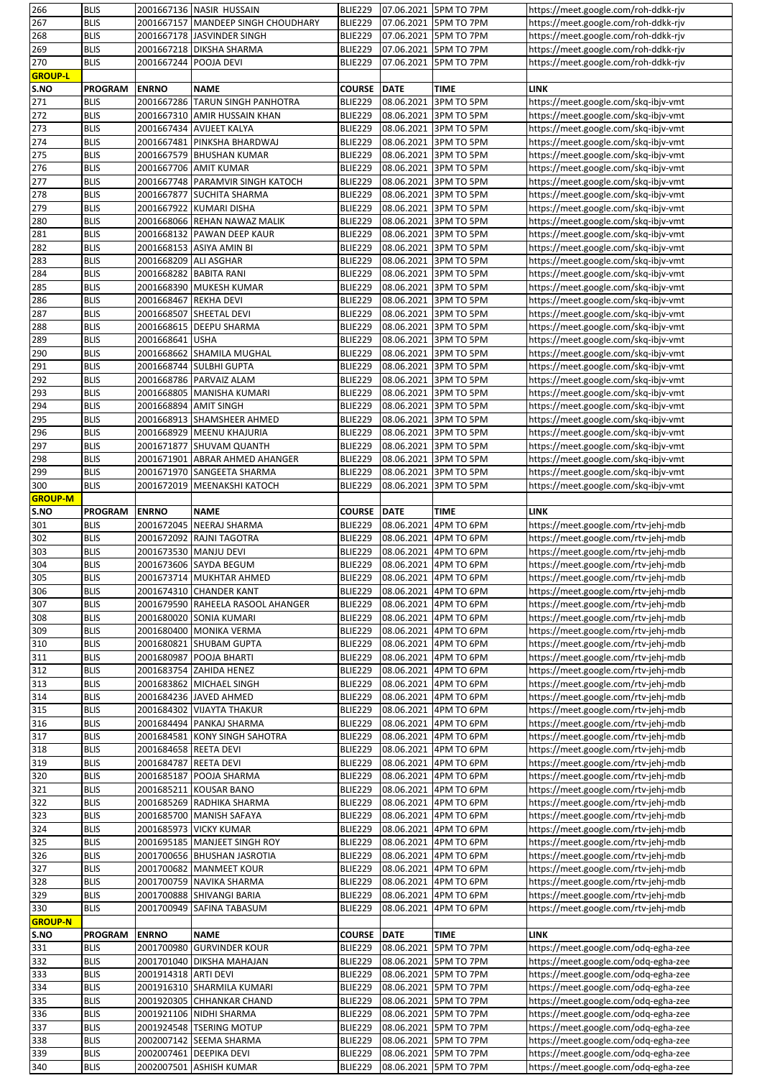| 266              | <b>BLIS</b>                |                       | 2001667136 NASIR HUSSAIN                           | BLIE229            |             | 07.06.2021 5PM TO 7PM               | https://meet.google.com/roh-ddkk-rjv                                         |
|------------------|----------------------------|-----------------------|----------------------------------------------------|--------------------|-------------|-------------------------------------|------------------------------------------------------------------------------|
| 267              | <b>BLIS</b>                |                       | 2001667157 MANDEEP SINGH CHOUDHARY                 | BLIE229            | 07.06.2021  | 5PM TO 7PM                          | https://meet.google.com/roh-ddkk-rjv                                         |
| 268              | <b>BLIS</b>                |                       | 2001667178 JASVINDER SINGH                         | BLIE229            | 07.06.2021  | 5PM TO 7PM                          | https://meet.google.com/roh-ddkk-rjv                                         |
| 269              | <b>BLIS</b>                |                       | 2001667218 DIKSHA SHARMA                           | BLIE229            | 07.06.2021  | 5PM TO 7PM                          | https://meet.google.com/roh-ddkk-rjv                                         |
| 270              | <b>BLIS</b>                | 2001667244 POOJA DEVI |                                                    | BLIE229            | 07.06.2021  | 5PM TO 7PM                          | https://meet.google.com/roh-ddkk-rjv                                         |
|                  |                            |                       |                                                    |                    |             |                                     |                                                                              |
| <b>GROUP-L</b>   |                            |                       |                                                    |                    |             |                                     |                                                                              |
| S.NO             | <b>PROGRAM</b>             | <b>ENRNO</b>          | <b>NAME</b>                                        | <b>COURSE</b>      | <b>DATE</b> | <b>TIME</b>                         | <b>LINK</b>                                                                  |
| 271              | <b>BLIS</b>                |                       | 2001667286 TARUN SINGH PANHOTRA                    | <b>BLIE229</b>     | 08.06.2021  | 3PM TO 5PM                          | https://meet.google.com/skq-ibjv-vmt                                         |
| 272              | <b>BLIS</b>                |                       | 2001667310 AMIR HUSSAIN KHAN                       | BLIE229            | 08.06.2021  | 3PM TO 5PM                          | https://meet.google.com/skq-ibjv-vmt                                         |
| 273              | <b>BLIS</b>                |                       | 2001667434 AVIJEET KALYA                           | BLIE229            | 08.06.2021  | 3PM TO 5PM                          | https://meet.google.com/skq-ibjv-vmt                                         |
| 274              | <b>BLIS</b>                | 2001667481            | PINKSHA BHARDWAJ                                   | BLIE229            | 08.06.2021  | 3PM TO 5PM                          | https://meet.google.com/skq-ibjv-vmt                                         |
| 275              | <b>BLIS</b>                |                       | 2001667579 BHUSHAN KUMAR                           | BLIE229            | 08.06.2021  | 3PM TO 5PM                          | https://meet.google.com/skq-ibjv-vmt                                         |
| 276              | <b>BLIS</b>                |                       | 2001667706 AMIT KUMAR                              | BLIE229            | 08.06.2021  | 3PM TO 5PM                          | https://meet.google.com/skq-ibjv-vmt                                         |
| 277              | <b>BLIS</b>                |                       | 2001667748 PARAMVIR SINGH KATOCH                   | BLIE229            | 08.06.2021  | 3PM TO 5PM                          |                                                                              |
|                  |                            |                       |                                                    |                    |             |                                     | https://meet.google.com/skq-ibjv-vmt                                         |
| 278              | <b>BLIS</b>                | 2001667877            | <b>SUCHITA SHARMA</b>                              | BLIE229            | 08.06.2021  | 3PM TO 5PM                          | https://meet.google.com/skq-ibjv-vmt                                         |
| 279              | <b>BLIS</b>                | 2001667922            | <b>KUMARI DISHA</b>                                | BLIE229            | 08.06.2021  | 3PM TO 5PM                          | https://meet.google.com/skq-ibjv-vmt                                         |
| 280              | <b>BLIS</b>                |                       | 2001668066 REHAN NAWAZ MALIK                       | BLIE229            | 08.06.2021  | 3PM TO 5PM                          | https://meet.google.com/skq-ibjv-vmt                                         |
| 281              | <b>BLIS</b>                |                       | 2001668132 PAWAN DEEP KAUR                         | BLIE229            | 08.06.2021  | 3PM TO 5PM                          | https://meet.google.com/skq-ibjv-vmt                                         |
| 282              | <b>BLIS</b>                |                       | 2001668153 ASIYA AMIN BI                           | BLIE229            | 08.06.2021  | 3PM TO 5PM                          | https://meet.google.com/skq-ibjv-vmt                                         |
| 283              | <b>BLIS</b>                | 2001668209 ALI ASGHAR |                                                    | BLIE229            | 08.06.2021  | 3PM TO 5PM                          | https://meet.google.com/skq-ibjv-vmt                                         |
| 284              | <b>BLIS</b>                |                       | 2001668282 BABITA RANI                             | BLIE229            | 08.06.2021  | 3PM TO 5PM                          | https://meet.google.com/skq-ibjv-vmt                                         |
| 285              | <b>BLIS</b>                |                       | 2001668390 MUKESH KUMAR                            | BLIE229            | 08.06.2021  | 3PM TO 5PM                          | https://meet.google.com/skq-ibjv-vmt                                         |
|                  |                            |                       |                                                    |                    | 08.06.2021  |                                     |                                                                              |
| 286              | <b>BLIS</b>                | 2001668467            | <b>REKHA DEVI</b>                                  | BLIE229            |             | 3PM TO 5PM                          | https://meet.google.com/skq-ibjv-vmt                                         |
| 287              | <b>BLIS</b>                |                       | 2001668507 SHEETAL DEVI                            | BLIE229            | 08.06.2021  | 3PM TO 5PM                          | https://meet.google.com/skq-ibjv-vmt                                         |
| 288              | <b>BLIS</b>                |                       | 2001668615 DEEPU SHARMA                            | BLIE229            | 08.06.2021  | 3PM TO 5PM                          | https://meet.google.com/skq-ibjv-vmt                                         |
| 289              | <b>BLIS</b>                | 2001668641            | <b>USHA</b>                                        | BLIE229            | 08.06.2021  | 3PM TO 5PM                          | https://meet.google.com/skq-ibjv-vmt                                         |
| 290              | <b>BLIS</b>                |                       | 2001668662 SHAMILA MUGHAL                          | BLIE229            | 08.06.2021  | 3PM TO 5PM                          | https://meet.google.com/skq-ibjv-vmt                                         |
| 291              | <b>BLIS</b>                |                       | 2001668744 SULBHI GUPTA                            | BLIE229            | 08.06.2021  | 3PM TO 5PM                          | https://meet.google.com/skq-ibjv-vmt                                         |
| 292              | <b>BLIS</b>                |                       | 2001668786 PARVAIZ ALAM                            | <b>BLIE229</b>     | 08.06.2021  | 3PM TO 5PM                          | https://meet.google.com/skq-ibjv-vmt                                         |
| 293              | <b>BLIS</b>                |                       | 2001668805 MANISHA KUMARI                          | BLIE229            | 08.06.2021  | 3PM TO 5PM                          | https://meet.google.com/skq-ibjv-vmt                                         |
| 294              | <b>BLIS</b>                |                       | 2001668894 AMIT SINGH                              | BLIE229            | 08.06.2021  | 3PM TO 5PM                          | https://meet.google.com/skq-ibjv-vmt                                         |
|                  |                            |                       |                                                    |                    |             |                                     |                                                                              |
| 295              | <b>BLIS</b>                |                       | 2001668913 SHAMSHEER AHMED                         | BLIE229            | 08.06.2021  | 3PM TO 5PM                          | https://meet.google.com/skq-ibjv-vmt                                         |
| 296              | <b>BLIS</b>                |                       | 2001668929 MEENU KHAJURIA                          | BLIE229            | 08.06.2021  | 3PM TO 5PM                          | https://meet.google.com/skq-ibjv-vmt                                         |
| 297              | <b>BLIS</b>                |                       | 2001671877 SHUVAM QUANTH                           | BLIE229            | 08.06.2021  | 3PM TO 5PM                          | https://meet.google.com/skq-ibjv-vmt                                         |
| 298              | <b>BLIS</b>                | 2001671901            | <b>ABRAR AHMED AHANGER</b>                         | BLIE229            | 08.06.2021  | 3PM TO 5PM                          | https://meet.google.com/skq-ibjv-vmt                                         |
| 299              | <b>BLIS</b>                |                       | 2001671970 SANGEETA SHARMA                         | BLIE229            | 08.06.2021  | 3PM TO 5PM                          | https://meet.google.com/skq-ibjv-vmt                                         |
| 300              | <b>BLIS</b>                | 2001672019            | <b>MEENAKSHI KATOCH</b>                            | <b>BLIE229</b>     | 08.06.2021  | 3PM TO 5PM                          | https://meet.google.com/skq-ibjv-vmt                                         |
| <b>GROUP-M</b>   |                            |                       |                                                    |                    |             |                                     |                                                                              |
| S.NO             | <b>PROGRAM</b>             | <b>ENRNO</b>          | <b>NAME</b>                                        | <b>COURSE DATE</b> |             | TIME                                | <b>LINK</b>                                                                  |
| 301              | <b>BLIS</b>                |                       | 2001672045 NEERAJ SHARMA                           | BLIE229            | 08.06.2021  | 4PM TO 6PM                          | https://meet.google.com/rtv-jehj-mdb                                         |
|                  |                            |                       |                                                    |                    |             |                                     |                                                                              |
|                  |                            |                       |                                                    |                    |             |                                     |                                                                              |
| 302              | <b>BLIS</b>                |                       | 2001672092 RAJNI TAGOTRA                           | BLIE229            | 08.06.2021  | 4PM TO 6PM                          | https://meet.google.com/rtv-jehj-mdb                                         |
| 303              | <b>BLIS</b>                |                       | 2001673530 MANJU DEVI                              | BLIE229            | 08.06.2021  | 4PM TO 6PM                          | https://meet.google.com/rtv-jehj-mdb                                         |
| 304              | <b>BLIS</b>                |                       | 2001673606 SAYDA BEGUM                             | BLIE229            | 08.06.2021  | 4PM TO 6PM                          | https://meet.google.com/rtv-jehj-mdb                                         |
| 305              | <b>BLIS</b>                |                       | 2001673714 MUKHTAR AHMED                           | BLIE229            | 08.06.2021  | 4PM TO 6PM                          | https://meet.google.com/rtv-jehj-mdb                                         |
| 306              | <b>BLIS</b>                |                       | 2001674310 CHANDER KANT                            | BLIE229            | 08.06.2021  | 4PM TO 6PM                          | https://meet.google.com/rtv-jehj-mdb                                         |
|                  | <b>BLIS</b>                |                       | 2001679590 RAHEELA RASOOL AHANGER                  | BLIE229            | 08.06.2021  | 4PM TO 6PM                          | https://meet.google.com/rtv-jehj-mdb                                         |
| 307              |                            |                       |                                                    |                    |             |                                     |                                                                              |
| 308              | <b>BLIS</b>                |                       | 2001680020 SONIA KUMARI                            | BLIE229            | 08.06.2021  | 4PM TO 6PM                          | https://meet.google.com/rtv-jehj-mdb                                         |
| 309              | <b>BLIS</b>                |                       | 2001680400 MONIKA VERMA                            | BLIE229            | 08.06.2021  | 4PM TO 6PM                          | https://meet.google.com/rtv-jehj-mdb                                         |
| 310              | <b>BLIS</b>                |                       | 2001680821 SHUBAM GUPTA                            | BLIE229            | 08.06.2021  | 4PM TO 6PM                          | https://meet.google.com/rtv-jehj-mdb                                         |
| 311              | <b>BLIS</b>                |                       | 2001680987 POOJA BHARTI                            | BLIE229            | 08.06.2021  | 4PM TO 6PM                          | https://meet.google.com/rtv-jehj-mdb                                         |
| 312              | <b>BLIS</b>                |                       | 2001683754 ZAHIDA HENEZ                            | BLIE229            | 08.06.2021  | 4PM TO 6PM                          | https://meet.google.com/rtv-jehj-mdb                                         |
| 313              | <b>BLIS</b>                |                       | 2001683862 MICHAEL SINGH                           | BLIE229            | 08.06.2021  | 4PM TO 6PM                          | https://meet.google.com/rtv-jehj-mdb                                         |
| 314              | <b>BLIS</b>                |                       | 2001684236 JAVED AHMED                             | BLIE229            | 08.06.2021  | 4PM TO 6PM                          | https://meet.google.com/rtv-jehj-mdb                                         |
| 315              | <b>BLIS</b>                |                       | 2001684302 VIJAYTA THAKUR                          | <b>BLIE229</b>     | 08.06.2021  | 4PM TO 6PM                          | https://meet.google.com/rtv-jehj-mdb                                         |
| 316              | <b>BLIS</b>                |                       | 2001684494 PANKAJ SHARMA                           | BLIE229            | 08.06.2021  | 4PM TO 6PM                          | https://meet.google.com/rtv-jehj-mdb                                         |
| 317              | <b>BLIS</b>                |                       | 2001684581 KONY SINGH SAHOTRA                      | <b>BLIE229</b>     | 08.06.2021  | 4PM TO 6PM                          | https://meet.google.com/rtv-jehj-mdb                                         |
|                  | <b>BLIS</b>                | 2001684658 REETA DEVI |                                                    | BLIE229            | 08.06.2021  | 4PM TO 6PM                          |                                                                              |
| 318              |                            |                       |                                                    |                    |             |                                     | https://meet.google.com/rtv-jehj-mdb                                         |
| 319              | <b>BLIS</b>                | 2001684787            | <b>REETA DEVI</b>                                  | BLIE229            | 08.06.2021  | 4PM TO 6PM                          | https://meet.google.com/rtv-jehj-mdb                                         |
| 320              | <b>BLIS</b>                | 2001685187            | POOJA SHARMA                                       | BLIE229            | 08.06.2021  | 4PM TO 6PM                          | https://meet.google.com/rtv-jehj-mdb                                         |
| 321              | <b>BLIS</b>                |                       | 2001685211 KOUSAR BANO                             | BLIE229            | 08.06.2021  | 4PM TO 6PM                          | https://meet.google.com/rtv-jehj-mdb                                         |
| 322              | <b>BLIS</b>                |                       | 2001685269 RADHIKA SHARMA                          | <b>BLIE229</b>     | 08.06.2021  | 4PM TO 6PM                          | https://meet.google.com/rtv-jehj-mdb                                         |
| 323              | <b>BLIS</b>                |                       | 2001685700 MANISH SAFAYA                           | BLIE229            | 08.06.2021  | 4PM TO 6PM                          | https://meet.google.com/rtv-jehj-mdb                                         |
| 324              | <b>BLIS</b>                |                       | 2001685973 VICKY KUMAR                             | <b>BLIE229</b>     | 08.06.2021  | 4PM TO 6PM                          | https://meet.google.com/rtv-jehj-mdb                                         |
| $\overline{325}$ | <b>BLIS</b>                |                       | 2001695185 MANJEET SINGH ROY                       | BLIE229            | 08.06.2021  | 4PM TO 6PM                          | https://meet.google.com/rtv-jehj-mdb                                         |
| 326              | <b>BLIS</b>                |                       | 2001700656 BHUSHAN JASROTIA                        | BLIE229            | 08.06.2021  | 4PM TO 6PM                          | https://meet.google.com/rtv-jehj-mdb                                         |
| 327              | <b>BLIS</b>                |                       | 2001700682 MANMEET KOUR                            | BLIE229            | 08.06.2021  | 4PM TO 6PM                          | https://meet.google.com/rtv-jehj-mdb                                         |
|                  | <b>BLIS</b>                |                       | 2001700759 NAVIKA SHARMA                           | BLIE229            |             | 4PM TO 6PM                          |                                                                              |
| 328              |                            |                       |                                                    |                    | 08.06.2021  |                                     | https://meet.google.com/rtv-jehj-mdb                                         |
| 329              | <b>BLIS</b>                |                       | 2001700888 SHIVANGI BARIA                          | <b>BLIE229</b>     | 08.06.2021  | 4PM TO 6PM                          | https://meet.google.com/rtv-jehj-mdb                                         |
| 330              | <b>BLIS</b>                |                       | 2001700949 SAFINA TABASUM                          | <b>BLIE229</b>     | 08.06.2021  | 4PM TO 6PM                          | https://meet.google.com/rtv-jehj-mdb                                         |
| <b>GROUP-N</b>   |                            |                       |                                                    |                    |             |                                     |                                                                              |
| S.NO             | <b>PROGRAM</b>             | <b>ENRNO</b>          | <b>NAME</b>                                        | <b>COURSE DATE</b> |             | <b>TIME</b>                         | <b>LINK</b>                                                                  |
| 331              | <b>BLIS</b>                |                       | 2001700980 GURVINDER KOUR                          | BLIE229            | 08.06.2021  | 5PM TO 7PM                          | https://meet.google.com/odq-egha-zee                                         |
| 332              | <b>BLIS</b>                |                       | 2001701040 DIKSHA MAHAJAN                          | BLIE229            | 08.06.2021  | 5PM TO 7PM                          | https://meet.google.com/odq-egha-zee                                         |
| 333              | <b>BLIS</b>                | 2001914318 ARTI DEVI  |                                                    | BLIE229            | 08.06.2021  | 5PM TO 7PM                          | https://meet.google.com/odq-egha-zee                                         |
| 334              | <b>BLIS</b>                |                       | 2001916310 SHARMILA KUMARI                         | <b>BLIE229</b>     | 08.06.2021  | 5PM TO 7PM                          | https://meet.google.com/odq-egha-zee                                         |
|                  | <b>BLIS</b>                | 2001920305            | <b>CHHANKAR CHAND</b>                              | BLIE229            | 08.06.2021  | 5PM TO 7PM                          | https://meet.google.com/odq-egha-zee                                         |
| 335              |                            |                       |                                                    |                    |             |                                     |                                                                              |
| 336              | <b>BLIS</b>                |                       | 2001921106 NIDHI SHARMA                            | BLIE229            | 08.06.2021  | 5PM TO 7PM                          | https://meet.google.com/odq-egha-zee                                         |
|                  | <b>BLIS</b>                |                       | 2001924548 TSERING MOTUP                           | BLIE229            | 08.06.2021  | 5PM TO 7PM                          | https://meet.google.com/odq-egha-zee                                         |
| 337<br>338       | <b>BLIS</b>                |                       | 2002007142 SEEMA SHARMA                            | BLIE229            | 08.06.2021  | 5PM TO 7PM                          | https://meet.google.com/odq-egha-zee                                         |
| 339<br>340       | <b>BLIS</b><br><b>BLIS</b> |                       | 2002007461 DEEPIKA DEVI<br>2002007501 ASHISH KUMAR | BLIE229<br>BLIE229 | 08.06.2021  | 5PM TO 7PM<br>08.06.2021 5PM TO 7PM | https://meet.google.com/odq-egha-zee<br>https://meet.google.com/odq-egha-zee |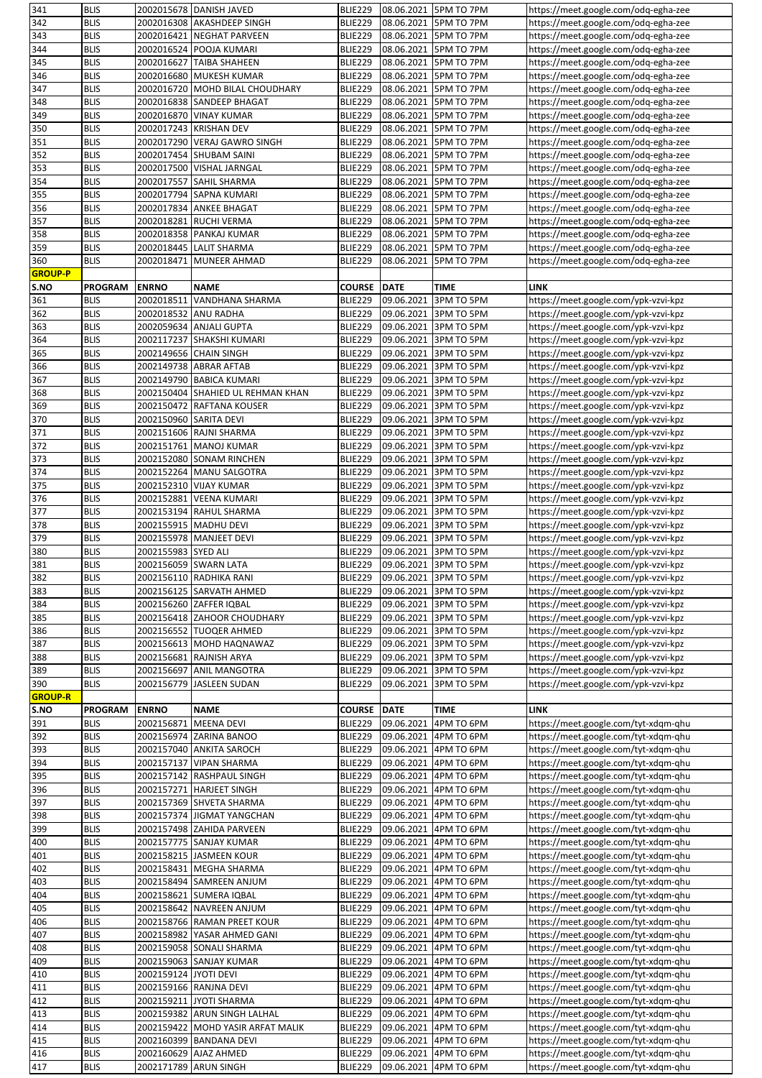| 341            | <b>BLIS</b>                |                        | 2002015678 DANISH JAVED                        | BLIE229                   |                          | 08.06.2021 5PM TO 7PM    | https://meet.google.com/odq-egha-zee                                         |
|----------------|----------------------------|------------------------|------------------------------------------------|---------------------------|--------------------------|--------------------------|------------------------------------------------------------------------------|
| 342            | <b>BLIS</b>                |                        | 2002016308 AKASHDEEP SINGH                     | BLIE229                   | 08.06.2021               | 5PM TO 7PM               | https://meet.google.com/odq-egha-zee                                         |
| 343            | <b>BLIS</b>                |                        | 2002016421 NEGHAT PARVEEN                      | <b>BLIE229</b>            |                          | 08.06.2021 5PM TO 7PM    | https://meet.google.com/odq-egha-zee                                         |
| 344            | <b>BLIS</b>                |                        | 2002016524 POOJA KUMARI                        | <b>BLIE229</b>            | 08.06.2021               | 5PM TO 7PM               | https://meet.google.com/odq-egha-zee                                         |
| 345            | <b>BLIS</b>                |                        | 2002016627 TAIBA SHAHEEN                       | <b>BLIE229</b>            | 08.06.2021               | 5PM TO 7PM               | https://meet.google.com/odq-egha-zee                                         |
|                |                            |                        |                                                |                           |                          |                          |                                                                              |
| 346            | <b>BLIS</b>                |                        | 2002016680 MUKESH KUMAR                        | BLIE229                   | 08.06.2021               | 5PM TO 7PM               | https://meet.google.com/odq-egha-zee                                         |
| 347            | <b>BLIS</b>                |                        | 2002016720 MOHD BILAL CHOUDHARY                | <b>BLIE229</b>            | 08.06.2021               | 5PM TO 7PM               | https://meet.google.com/odq-egha-zee                                         |
| 348            | <b>BLIS</b>                |                        | 2002016838 SANDEEP BHAGAT                      | <b>BLIE229</b>            | 08.06.2021               | 5PM TO 7PM               | https://meet.google.com/odq-egha-zee                                         |
| 349            | <b>BLIS</b>                |                        | 2002016870 VINAY KUMAR                         | BLIE229                   | 08.06.2021               | <b>5PM TO 7PM</b>        | https://meet.google.com/odq-egha-zee                                         |
| 350            | <b>BLIS</b>                |                        | 2002017243 KRISHAN DEV                         | <b>BLIE229</b>            | 08.06.2021               | 5PM TO 7PM               | https://meet.google.com/odq-egha-zee                                         |
| 351            | <b>BLIS</b>                |                        | 2002017290 VERAJ GAWRO SINGH                   | <b>BLIE229</b>            | 08.06.2021               | 5PM TO 7PM               | https://meet.google.com/odq-egha-zee                                         |
| 352            | <b>BLIS</b>                |                        | 2002017454 SHUBAM SAINI                        | <b>BLIE229</b>            | 08.06.2021               | 5PM TO 7PM               | https://meet.google.com/odq-egha-zee                                         |
| 353            | <b>BLIS</b>                |                        | 2002017500 VISHAL JARNGAL                      | <b>BLIE229</b>            | 08.06.2021               | 5PM TO 7PM               | https://meet.google.com/odq-egha-zee                                         |
| 354            | <b>BLIS</b>                |                        | 2002017557 SAHIL SHARMA                        | <b>BLIE229</b>            | 08.06.2021               | 5PM TO 7PM               | https://meet.google.com/odq-egha-zee                                         |
|                | <b>BLIS</b>                |                        |                                                |                           |                          |                          |                                                                              |
| 355            |                            |                        | 2002017794 SAPNA KUMARI                        | BLIE229                   | 08.06.2021               | 5PM TO 7PM               | https://meet.google.com/odq-egha-zee                                         |
| 356            | <b>BLIS</b>                |                        | 2002017834 ANKEE BHAGAT                        | <b>BLIE229</b>            | 08.06.2021               | 5PM TO 7PM               | https://meet.google.com/odq-egha-zee                                         |
| 357            | <b>BLIS</b>                |                        | 2002018281 RUCHI VERMA                         | BLIE229                   | 08.06.2021               | 5PM TO 7PM               | https://meet.google.com/odq-egha-zee                                         |
| 358            | <b>BLIS</b>                |                        | 2002018358 PANKAJ KUMAR                        | BLIE229                   | 08.06.2021               | 5PM TO 7PM               | https://meet.google.com/odq-egha-zee                                         |
| 359            | <b>BLIS</b>                |                        | 2002018445 LALIT SHARMA                        | <b>BLIE229</b>            | 08.06.2021               | 5PM TO 7PM               | https://meet.google.com/odq-egha-zee                                         |
| 360            | <b>BLIS</b>                |                        | 2002018471 MUNEER AHMAD                        | <b>BLIE229</b>            | 08.06.2021               | 5PM TO 7PM               | https://meet.google.com/odq-egha-zee                                         |
| GROUP-P        |                            |                        |                                                |                           |                          |                          |                                                                              |
| S.NO           | <b>PROGRAM</b>             | <b>ENRNO</b>           | <b>NAME</b>                                    | <b>COURSE</b>             | <b>DATE</b>              | TIME                     | <b>LINK</b>                                                                  |
| 361            | <b>BLIS</b>                |                        | 2002018511 VANDHANA SHARMA                     | <b>BLIE229</b>            | 09.06.2021               | 3PM TO 5PM               | https://meet.google.com/ypk-vzvi-kpz                                         |
| 362            | <b>BLIS</b>                | 2002018532 ANU RADHA   |                                                | <b>BLIE229</b>            | 09.06.2021               | 3PM TO 5PM               | https://meet.google.com/ypk-vzvi-kpz                                         |
|                |                            |                        |                                                |                           |                          |                          |                                                                              |
| 363            | <b>BLIS</b>                |                        | 2002059634 ANJALI GUPTA                        | <b>BLIE229</b>            | 09.06.2021               | 3PM TO 5PM               | https://meet.google.com/ypk-vzvi-kpz                                         |
| 364            | <b>BLIS</b>                |                        | 2002117237 SHAKSHI KUMARI                      | <b>BLIE229</b>            | 09.06.2021               | 3PM TO 5PM               | https://meet.google.com/ypk-vzvi-kpz                                         |
| 365            | <b>BLIS</b>                |                        | 2002149656 CHAIN SINGH                         | BLIE229                   | 09.06.2021               | 3PM TO 5PM               | https://meet.google.com/ypk-vzvi-kpz                                         |
| 366            | <b>BLIS</b>                |                        | 2002149738 ABRAR AFTAB                         | <b>BLIE229</b>            | 09.06.2021               | 3PM TO 5PM               | https://meet.google.com/ypk-vzvi-kpz                                         |
| 367            | <b>BLIS</b>                |                        | 2002149790 BABICA KUMARI                       | BLIE229                   | 09.06.2021               | 3PM TO 5PM               | https://meet.google.com/ypk-vzvi-kpz                                         |
| 368            | <b>BLIS</b>                |                        | 2002150404 SHAHIED UL REHMAN KHAN              | <b>BLIE229</b>            | 09.06.2021               | 3PM TO 5PM               | https://meet.google.com/ypk-vzvi-kpz                                         |
| 369            | <b>BLIS</b>                |                        | 2002150472 RAFTANA KOUSER                      | <b>BLIE229</b>            | 09.06.2021               | 3PM TO 5PM               | https://meet.google.com/ypk-vzvi-kpz                                         |
| 370            | <b>BLIS</b>                | 2002150960 SARITA DEVI |                                                | <b>BLIE229</b>            | 09.06.2021               | 3PM TO 5PM               | https://meet.google.com/ypk-vzvi-kpz                                         |
| 371            | <b>BLIS</b>                |                        | 2002151606 RAJNI SHARMA                        | <b>BLIE229</b>            | 09.06.2021               | 3PM TO 5PM               | https://meet.google.com/ypk-vzvi-kpz                                         |
|                |                            |                        |                                                |                           |                          |                          |                                                                              |
| 372            | <b>BLIS</b>                |                        | 2002151761 MANOJ KUMAR                         | BLIE229                   | 09.06.2021               | 3PM TO 5PM               | https://meet.google.com/ypk-vzvi-kpz                                         |
| 373            | <b>BLIS</b>                |                        | 2002152080 SONAM RINCHEN                       | <b>BLIE229</b>            | 09.06.2021               | 3PM TO 5PM               | https://meet.google.com/ypk-vzvi-kpz                                         |
| 374            | <b>BLIS</b>                |                        | 2002152264 MANU SALGOTRA                       | <b>BLIE229</b>            | 09.06.2021               | 3PM TO 5PM               | https://meet.google.com/ypk-vzvi-kpz                                         |
| 375            | <b>BLIS</b>                |                        | 2002152310 VIJAY KUMAR                         | <b>BLIE229</b>            | 09.06.2021               | 3PM TO 5PM               | https://meet.google.com/ypk-vzvi-kpz                                         |
| 376            | <b>BLIS</b>                |                        | 2002152881 VEENA KUMARI                        | BLIE229                   | 09.06.2021               | 3PM TO 5PM               | https://meet.google.com/ypk-vzvi-kpz                                         |
| 377            | <b>BLIS</b>                |                        | 2002153194 RAHUL SHARMA                        | BLIE229                   | 09.06.2021               | 3PM TO 5PM               | https://meet.google.com/ypk-vzvi-kpz                                         |
| 378            | <b>BLIS</b>                |                        | 2002155915 MADHU DEVI                          | <b>BLIE229</b>            | 09.06.2021               | 3PM TO 5PM               | https://meet.google.com/ypk-vzvi-kpz                                         |
| 379            | <b>BLIS</b>                |                        | 2002155978 MANJEET DEVI                        |                           |                          |                          |                                                                              |
|                |                            |                        |                                                |                           |                          |                          |                                                                              |
|                |                            |                        |                                                | <b>BLIE229</b>            | 09.06.2021               | 3PM TO 5PM               | https://meet.google.com/ypk-vzvi-kpz                                         |
| 380            | <b>BLIS</b>                | 2002155983 SYED ALI    |                                                | <b>BLIE229</b>            | 09.06.2021               | 3PM TO 5PM               | https://meet.google.com/ypk-vzvi-kpz                                         |
| 381            | <b>BLIS</b>                |                        | 2002156059 SWARN LATA                          | BLIE229                   |                          | 09.06.2021 3PM TO 5PM    | https://meet.google.com/ypk-vzvi-kpz                                         |
| 382            | <b>BLIS</b>                |                        | 2002156110 RADHIKA RANI                        | BLIE229                   | 09.06.2021               | 3PM TO 5PM               | https://meet.google.com/ypk-vzvi-kpz                                         |
| 383            | <b>BLIS</b>                |                        | 2002156125 SARVATH AHMED                       | <b>BLIE229</b>            |                          | 09.06.2021 3PM TO 5PM    | https://meet.google.com/ypk-vzvi-kpz                                         |
| 384            | <b>BLIS</b>                |                        | 2002156260 ZAFFER IQBAL                        | <b>BLIE229</b>            | 09.06.2021               | 3PM TO 5PM               | https://meet.google.com/ypk-vzvi-kpz                                         |
| 385            | <b>BLIS</b>                |                        | 2002156418 ZAHOOR CHOUDHARY                    | <b>BLIE229</b>            | 09.06.2021               | 3PM TO 5PM               | https://meet.google.com/ypk-vzvi-kpz                                         |
| 386            | <b>BLIS</b>                |                        | 2002156552 TUOQER AHMED                        | <b>BLIE229</b>            | 09.06.2021               | 3PM TO 5PM               | https://meet.google.com/ypk-vzvi-kpz                                         |
| 387            | <b>BLIS</b>                |                        | 2002156613 MOHD HAQNAWAZ                       | BLIE229                   | 09.06.2021               | 3PM TO 5PM               | https://meet.google.com/ypk-vzvi-kpz                                         |
|                | <b>BLIS</b>                |                        | 2002156681 RAJNISH ARYA                        |                           |                          |                          |                                                                              |
| 388            |                            |                        |                                                | <b>BLIE229</b>            | 09.06.2021               | 3PM TO 5PM               | https://meet.google.com/ypk-vzvi-kpz                                         |
| 389            | <b>BLIS</b>                |                        | 2002156697 ANIL MANGOTRA                       | BLIE229                   | 09.06.2021               | 3PM TO 5PM               | https://meet.google.com/ypk-vzvi-kpz                                         |
| 390            | <b>BLIS</b>                |                        | 2002156779 JASLEEN SUDAN                       | BLIE229                   | 09.06.2021               | 3PM TO 5PM               | https://meet.google.com/ypk-vzvi-kpz                                         |
| <b>GROUP-R</b> |                            |                        |                                                |                           |                          |                          |                                                                              |
| S.NO           | <b>PROGRAM</b>             | <b>ENRNO</b>           | <b>NAME</b>                                    | <b>COURSE</b>             | <b>DATE</b>              | <b>TIME</b>              | <b>LINK</b>                                                                  |
| 391            | <b>BLIS</b>                |                        | 2002156871 MEENA DEVI                          | <b>BLIE229</b>            | 09.06.2021               | 4PM TO 6PM               | https://meet.google.com/tyt-xdqm-qhu                                         |
| 392            | <b>BLIS</b>                |                        | 2002156974 ZARINA BANOO                        | BLIE229                   | 09.06.2021               | 4PM TO 6PM               | https://meet.google.com/tyt-xdqm-qhu                                         |
| 393            | <b>BLIS</b>                |                        | 2002157040 ANKITA SAROCH                       | <b>BLIE229</b>            | 09.06.2021               | 4PM TO 6PM               | https://meet.google.com/tyt-xdqm-qhu                                         |
| 394            | <b>BLIS</b>                |                        | 2002157137 VIPAN SHARMA                        | BLIE229                   | 09.06.2021               | 4PM TO 6PM               | https://meet.google.com/tyt-xdqm-qhu                                         |
| 395            | <b>BLIS</b>                |                        | 2002157142 RASHPAUL SINGH                      | <b>BLIE229</b>            | 09.06.2021               | 4PM TO 6PM               | https://meet.google.com/tyt-xdqm-qhu                                         |
| 396            | <b>BLIS</b>                |                        | 2002157271 HARJEET SINGH                       | <b>BLIE229</b>            | 09.06.2021               | 4PM TO 6PM               | https://meet.google.com/tyt-xdqm-qhu                                         |
|                |                            |                        |                                                |                           |                          |                          |                                                                              |
| 397            | <b>BLIS</b>                |                        | 2002157369 SHVETA SHARMA                       | BLIE229                   | 09.06.2021               | 4PM TO 6PM               | https://meet.google.com/tyt-xdqm-qhu                                         |
| 398            | <b>BLIS</b>                |                        | 2002157374 JIGMAT YANGCHAN                     | <b>BLIE229</b>            | 09.06.2021               | 4PM TO 6PM               | https://meet.google.com/tyt-xdqm-qhu                                         |
| 399            | <b>BLIS</b>                |                        | 2002157498 ZAHIDA PARVEEN                      | <b>BLIE229</b>            | 09.06.2021               | 4PM TO 6PM               | https://meet.google.com/tyt-xdqm-qhu                                         |
| 400            | <b>BLIS</b>                |                        | 2002157775 SANJAY KUMAR                        | <b>BLIE229</b>            | 09.06.2021               | 4PM TO 6PM               | https://meet.google.com/tyt-xdqm-qhu                                         |
| 401            | <b>BLIS</b>                |                        | 2002158215 JASMEEN KOUR                        | BLIE229                   | 09.06.2021               | 4PM TO 6PM               | https://meet.google.com/tyt-xdqm-qhu                                         |
| 402            | <b>BLIS</b>                |                        | 2002158431 MEGHA SHARMA                        | <b>BLIE229</b>            | 09.06.2021               | 4PM TO 6PM               | https://meet.google.com/tyt-xdqm-qhu                                         |
| 403            | <b>BLIS</b>                |                        | 2002158494 SAMREEN ANJUM                       | <b>BLIE229</b>            | 09.06.2021               | 4PM TO 6PM               | https://meet.google.com/tyt-xdqm-qhu                                         |
| 404            | <b>BLIS</b>                |                        | 2002158621 SUMERA IQBAL                        | <b>BLIE229</b>            | 09.06.2021               | 4PM TO 6PM               | https://meet.google.com/tyt-xdqm-qhu                                         |
| 405            | <b>BLIS</b>                |                        | 2002158642 NAVREEN ANJUM                       | <b>BLIE229</b>            | 09.06.2021               | 4PM TO 6PM               | https://meet.google.com/tyt-xdqm-qhu                                         |
|                |                            |                        |                                                |                           |                          |                          |                                                                              |
| 406            | <b>BLIS</b>                |                        | 2002158766 RAMAN PREET KOUR                    | BLIE229                   | 09.06.2021               | 4PM TO 6PM               | https://meet.google.com/tyt-xdqm-qhu                                         |
| 407            | <b>BLIS</b>                |                        | 2002158982 YASAR AHMED GANI                    | <b>BLIE229</b>            | 09.06.2021               | 4PM TO 6PM               | https://meet.google.com/tyt-xdqm-qhu                                         |
| 408            | <b>BLIS</b>                |                        | 2002159058 SONALI SHARMA                       | BLIE229                   | 09.06.2021               | 4PM TO 6PM               | https://meet.google.com/tyt-xdqm-qhu                                         |
| 409            | <b>BLIS</b>                |                        | 2002159063 SANJAY KUMAR                        | <b>BLIE229</b>            | 09.06.2021               | 4PM TO 6PM               | https://meet.google.com/tyt-xdqm-qhu                                         |
| 410            | <b>BLIS</b>                | 2002159124 JYOTI DEVI  |                                                | <b>BLIE229</b>            | 09.06.2021               | 4PM TO 6PM               | https://meet.google.com/tyt-xdqm-qhu                                         |
| 411            | <b>BLIS</b>                |                        | 2002159166 RANJNA DEVI                         | <b>BLIE229</b>            | 09.06.2021               | 4PM TO 6PM               | https://meet.google.com/tyt-xdqm-qhu                                         |
| 412            | <b>BLIS</b>                |                        | 2002159211 JYOTI SHARMA                        | BLIE229                   | 09.06.2021               | 4PM TO 6PM               | https://meet.google.com/tyt-xdqm-qhu                                         |
| 413            | <b>BLIS</b>                |                        | 2002159382 ARUN SINGH LALHAL                   | BLIE229                   | 09.06.2021               | 4PM TO 6PM               | https://meet.google.com/tyt-xdqm-qhu                                         |
| 414            | <b>BLIS</b>                |                        | 2002159422 MOHD YASIR ARFAT MALIK              | <b>BLIE229</b>            | 09.06.2021               | 4PM TO 6PM               | https://meet.google.com/tyt-xdqm-qhu                                         |
|                | <b>BLIS</b>                |                        | 2002160399 BANDANA DEVI                        | <b>BLIE229</b>            |                          | 4PM TO 6PM               | https://meet.google.com/tyt-xdqm-qhu                                         |
| 415            |                            |                        |                                                |                           | 09.06.2021               |                          |                                                                              |
| 416<br>417     | <b>BLIS</b><br><b>BLIS</b> |                        | 2002160629 AJAZ AHMED<br>2002171789 ARUN SINGH | <b>BLIE229</b><br>BLIE229 | 09.06.2021<br>09.06.2021 | 4PM TO 6PM<br>4PM TO 6PM | https://meet.google.com/tyt-xdqm-qhu<br>https://meet.google.com/tyt-xdqm-qhu |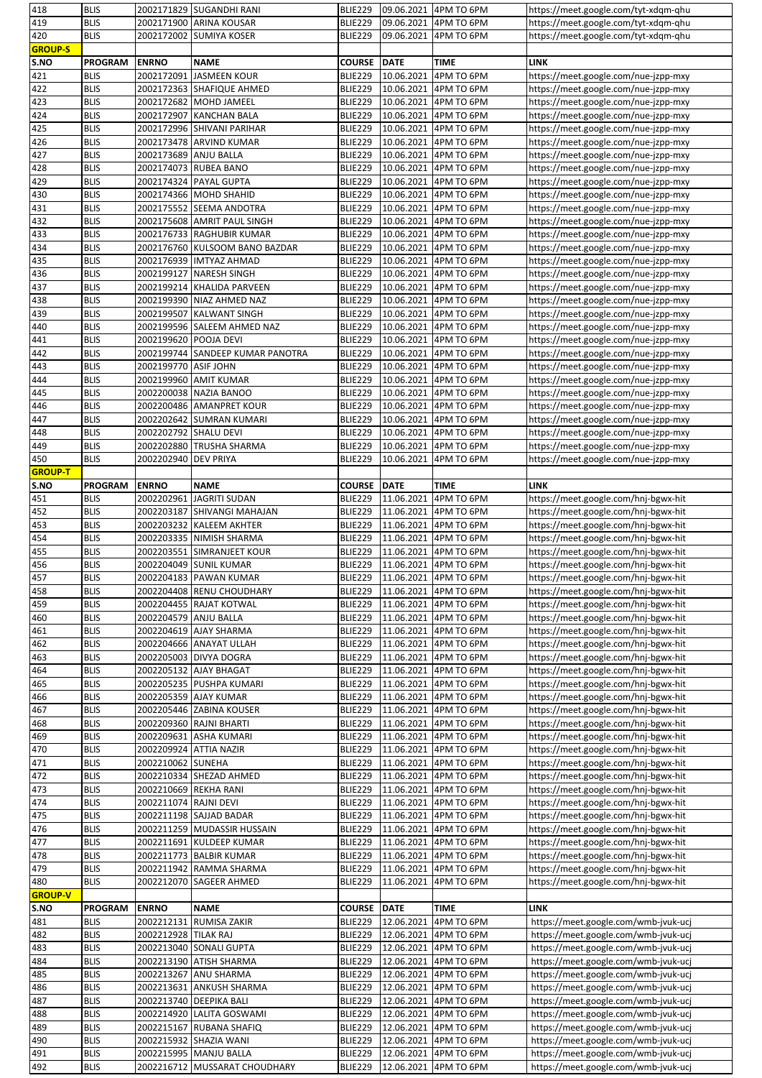| 418            | <b>BLIS</b>                |                        | 2002171829 SUGANDHI RANI                                | BLIE229            |             | 09.06.2021 4PM TO 6PM               | https://meet.google.com/tyt-xdqm-qhu                                         |
|----------------|----------------------------|------------------------|---------------------------------------------------------|--------------------|-------------|-------------------------------------|------------------------------------------------------------------------------|
| 419            | <b>BLIS</b>                |                        | 2002171900 ARINA KOUSAR                                 | BLIE229            | 09.06.2021  | 4PM TO 6PM                          | https://meet.google.com/tyt-xdqm-qhu                                         |
| 420            | <b>BLIS</b>                |                        | 2002172002 SUMIYA KOSER                                 | BLIE229            | 09.06.2021  | 4PM TO 6PM                          | https://meet.google.com/tyt-xdqm-qhu                                         |
| <b>GROUP-S</b> |                            |                        |                                                         |                    |             |                                     |                                                                              |
| S.NO           | <b>PROGRAM</b>             | <b>ENRNO</b>           | <b>NAME</b>                                             | <b>COURSE</b>      | <b>DATE</b> | <b>TIME</b>                         | <b>LINK</b>                                                                  |
|                |                            | 2002172091             |                                                         |                    |             | 4PM TO 6PM                          |                                                                              |
| 421            | <b>BLIS</b>                |                        | <b>JASMEEN KOUR</b>                                     | BLIE229            | 10.06.2021  |                                     | https://meet.google.com/nue-jzpp-mxy                                         |
| 422            | <b>BLIS</b>                |                        | 2002172363 SHAFIQUE AHMED                               | BLIE229            | 10.06.2021  | 4PM TO 6PM                          | https://meet.google.com/nue-jzpp-mxy                                         |
| 423            | <b>BLIS</b>                | 2002172682             | <b>MOHD JAMEEL</b>                                      | BLIE229            | 10.06.2021  | 4PM TO 6PM                          | https://meet.google.com/nue-jzpp-mxy                                         |
| 424            | <b>BLIS</b>                |                        | 2002172907 KANCHAN BALA                                 | BLIE229            | 10.06.2021  | 4PM TO 6PM                          | https://meet.google.com/nue-jzpp-mxy                                         |
| 425            | <b>BLIS</b>                |                        | 2002172996 SHIVANI PARIHAR                              | BLIE229            | 10.06.2021  | 4PM TO 6PM                          | https://meet.google.com/nue-jzpp-mxy                                         |
| 426            | <b>BLIS</b>                |                        | 2002173478 ARVIND KUMAR                                 | BLIE229            | 10.06.2021  | 4PM TO 6PM                          | https://meet.google.com/nue-jzpp-mxy                                         |
| 427            | <b>BLIS</b>                | 2002173689 ANJU BALLA  |                                                         | BLIE229            | 10.06.2021  | 4PM TO 6PM                          | https://meet.google.com/nue-jzpp-mxy                                         |
|                |                            |                        |                                                         |                    |             |                                     |                                                                              |
| 428            | <b>BLIS</b>                |                        | 2002174073 RUBEA BANO                                   | BLIE229            | 10.06.2021  | 4PM TO 6PM                          | https://meet.google.com/nue-jzpp-mxy                                         |
| 429            | <b>BLIS</b>                |                        | 2002174324 PAYAL GUPTA                                  | BLIE229            | 10.06.2021  | 4PM TO 6PM                          | https://meet.google.com/nue-jzpp-mxy                                         |
| 430            | <b>BLIS</b>                |                        | 2002174366 MOHD SHAHID                                  | BLIE229            | 10.06.2021  | 4PM TO 6PM                          | https://meet.google.com/nue-jzpp-mxy                                         |
| 431            | <b>BLIS</b>                |                        | 2002175552 SEEMA ANDOTRA                                | BLIE229            | 10.06.2021  | 4PM TO 6PM                          | https://meet.google.com/nue-jzpp-mxy                                         |
| 432            | <b>BLIS</b>                |                        | 2002175608 AMRIT PAUL SINGH                             | BLIE229            | 10.06.2021  | 4PM TO 6PM                          | https://meet.google.com/nue-jzpp-mxy                                         |
| 433            | <b>BLIS</b>                |                        | 2002176733 RAGHUBIR KUMAR                               | BLIE229            | 10.06.2021  | 4PM TO 6PM                          | https://meet.google.com/nue-jzpp-mxy                                         |
| 434            | <b>BLIS</b>                |                        | 2002176760 KULSOOM BANO BAZDAR                          | BLIE229            | 10.06.2021  | 4PM TO 6PM                          | https://meet.google.com/nue-jzpp-mxy                                         |
|                |                            |                        |                                                         |                    |             |                                     |                                                                              |
| 435            | <b>BLIS</b>                |                        | 2002176939 IMTYAZ AHMAD                                 | BLIE229            | 10.06.2021  | 4PM TO 6PM                          | https://meet.google.com/nue-jzpp-mxy                                         |
| 436            | <b>BLIS</b>                | 2002199127             | <b>NARESH SINGH</b>                                     | BLIE229            | 10.06.2021  | 4PM TO 6PM                          | https://meet.google.com/nue-jzpp-mxy                                         |
| 437            | <b>BLIS</b>                |                        | 2002199214 KHALIDA PARVEEN                              | BLIE229            | 10.06.2021  | 4PM TO 6PM                          | https://meet.google.com/nue-jzpp-mxy                                         |
| 438            | <b>BLIS</b>                |                        | 2002199390 NIAZ AHMED NAZ                               | BLIE229            | 10.06.2021  | 4PM TO 6PM                          | https://meet.google.com/nue-jzpp-mxy                                         |
| 439            | <b>BLIS</b>                |                        | 2002199507 KALWANT SINGH                                | BLIE229            | 10.06.2021  | 4PM TO 6PM                          | https://meet.google.com/nue-jzpp-mxy                                         |
| 440            | <b>BLIS</b>                |                        | 2002199596 SALEEM AHMED NAZ                             | BLIE229            | 10.06.2021  | 4PM TO 6PM                          | https://meet.google.com/nue-jzpp-mxy                                         |
|                |                            |                        |                                                         |                    |             |                                     |                                                                              |
| 441            | <b>BLIS</b>                | 2002199620 POOJA DEVI  |                                                         | BLIE229            | 10.06.2021  | 4PM TO 6PM                          | https://meet.google.com/nue-jzpp-mxy                                         |
| 442            | <b>BLIS</b>                |                        | 2002199744 SANDEEP KUMAR PANOTRA                        | BLIE229            | 10.06.2021  | 4PM TO 6PM                          | https://meet.google.com/nue-jzpp-mxy                                         |
| 443            | <b>BLIS</b>                | 2002199770 ASIF JOHN   |                                                         | BLIE229            | 10.06.2021  | 4PM TO 6PM                          | https://meet.google.com/nue-jzpp-mxy                                         |
| 444            | <b>BLIS</b>                |                        | 2002199960 AMIT KUMAR                                   | BLIE229            | 10.06.2021  | 4PM TO 6PM                          | https://meet.google.com/nue-jzpp-mxy                                         |
| 445            | <b>BLIS</b>                |                        | 2002200038 NAZIA BANOO                                  | BLIE229            | 10.06.2021  | 4PM TO 6PM                          | https://meet.google.com/nue-jzpp-mxy                                         |
| 446            | <b>BLIS</b>                |                        | 2002200486 AMANPRET KOUR                                | BLIE229            | 10.06.2021  | 4PM TO 6PM                          | https://meet.google.com/nue-jzpp-mxy                                         |
| 447            | <b>BLIS</b>                |                        | 2002202642 SUMRAN KUMARI                                | BLIE229            | 10.06.2021  | 4PM TO 6PM                          | https://meet.google.com/nue-jzpp-mxy                                         |
|                |                            |                        |                                                         |                    |             |                                     |                                                                              |
| 448            | <b>BLIS</b>                | 2002202792 SHALU DEVI  |                                                         | BLIE229            | 10.06.2021  | 4PM TO 6PM                          | https://meet.google.com/nue-jzpp-mxy                                         |
| 449            | <b>BLIS</b>                |                        | 2002202880 TRUSHA SHARMA                                | BLIE229            | 10.06.2021  | 4PM TO 6PM                          | https://meet.google.com/nue-jzpp-mxy                                         |
| 450            | <b>BLIS</b>                | 2002202940 DEV PRIYA   |                                                         | BLIE229            | 10.06.2021  | 4PM TO 6PM                          | https://meet.google.com/nue-jzpp-mxy                                         |
| <b>GROUP-T</b> |                            |                        |                                                         |                    |             |                                     |                                                                              |
| S.NO           | <b>PROGRAM</b>             | <b>ENRNO</b>           | <b>NAME</b>                                             | <b>COURSE DATE</b> |             | TIME                                | <b>LINK</b>                                                                  |
| 451            | <b>BLIS</b>                | 2002202961             | JAGRITI SUDAN                                           | BLIE229            | 11.06.2021  | 4PM TO 6PM                          | https://meet.google.com/hnj-bgwx-hit                                         |
|                |                            |                        |                                                         |                    |             |                                     |                                                                              |
| 452            | <b>BLIS</b>                |                        | 2002203187 SHIVANGI MAHAJAN                             | BLIE229            | 11.06.2021  | 4PM TO 6PM                          | https://meet.google.com/hnj-bgwx-hit                                         |
| 453            | <b>BLIS</b>                |                        | 2002203232 KALEEM AKHTER                                | BLIE229            | 11.06.2021  | 4PM TO 6PM                          | https://meet.google.com/hnj-bgwx-hit                                         |
| 454            | <b>BLIS</b>                |                        | 2002203335 NIMISH SHARMA                                | BLIE229            | 11.06.2021  | 4PM TO 6PM                          | https://meet.google.com/hnj-bgwx-hit                                         |
| 455            | <b>BLIS</b>                |                        | 2002203551 SIMRANJEET KOUR                              | BLIE229            | 11.06.2021  | 4PM TO 6PM                          | https://meet.google.com/hnj-bgwx-hit                                         |
| 456            | <b>BLIS</b>                |                        | 2002204049 SUNIL KUMAR                                  | BLIE229            | 11.06.2021  | 4PM TO 6PM                          | https://meet.google.com/hnj-bgwx-hit                                         |
| 457            | <b>BLIS</b>                |                        | 2002204183 PAWAN KUMAR                                  | BLIE229            | 11.06.2021  | 4PM TO 6PM                          | https://meet.google.com/hnj-bgwx-hit                                         |
| 458            | <b>BLIS</b>                |                        | 2002204408 RENU CHOUDHARY                               |                    |             |                                     |                                                                              |
|                |                            |                        |                                                         | BLIE229            | 11.06.2021  | 4PM TO 6PM                          | https://meet.google.com/hnj-bgwx-hit                                         |
| 459            | <b>BLIS</b>                |                        | 2002204455 RAJAT KOTWAL                                 | BLIE229            | 11.06.2021  | 4PM TO 6PM                          | https://meet.google.com/hnj-bgwx-hit                                         |
| 460            | <b>BLIS</b>                | 2002204579 ANJU BALLA  |                                                         | BLIE229            | 11.06.2021  | 4PM TO 6PM                          | https://meet.google.com/hnj-bgwx-hit                                         |
| 461            |                            |                        |                                                         |                    | 11.06.2021  | 4PM TO 6PM                          |                                                                              |
|                | <b>BLIS</b>                | 2002204619 AJAY SHARMA |                                                         | BLIE229            |             |                                     | https://meet.google.com/hnj-bgwx-hit                                         |
|                |                            |                        |                                                         |                    |             |                                     |                                                                              |
| 462            | <b>BLIS</b>                |                        | 2002204666 ANAYAT ULLAH                                 | BLIE229            | 11.06.2021  | 4PM TO 6PM                          | https://meet.google.com/hnj-bgwx-hit                                         |
| 463            | <b>BLIS</b>                |                        | 2002205003 DIVYA DOGRA                                  | BLIE229            | 11.06.2021  | 4PM TO 6PM                          | https://meet.google.com/hnj-bgwx-hit                                         |
| 464            | <b>BLIS</b>                |                        | 2002205132 AJAY BHAGAT                                  | BLIE229            | 11.06.2021  | 4PM TO 6PM                          | https://meet.google.com/hnj-bgwx-hit                                         |
| 465            | <b>BLIS</b>                |                        | 2002205235 PUSHPA KUMARI                                | <b>BLIE229</b>     | 11.06.2021  | 4PM TO 6PM                          | https://meet.google.com/hnj-bgwx-hit                                         |
| 466            | <b>BLIS</b>                |                        | 2002205359 AJAY KUMAR                                   | BLIE229            | 11.06.2021  | 4PM TO 6PM                          | https://meet.google.com/hnj-bgwx-hit                                         |
|                | <b>BLIS</b>                |                        | 2002205446 ZABINA KOUSER                                | <b>BLIE229</b>     | 11.06.2021  | 4PM TO 6PM                          | https://meet.google.com/hnj-bgwx-hit                                         |
| 467<br>468     | <b>BLIS</b>                |                        | 2002209360 RAJNI BHARTI                                 | BLIE229            | 11.06.2021  | 4PM TO 6PM                          | https://meet.google.com/hnj-bgwx-hit                                         |
|                |                            |                        |                                                         |                    |             |                                     |                                                                              |
| 469            | <b>BLIS</b>                |                        | 2002209631 ASHA KUMARI                                  | <b>BLIE229</b>     | 11.06.2021  | 4PM TO 6PM                          | https://meet.google.com/hnj-bgwx-hit                                         |
| 470            | <b>BLIS</b>                | 2002209924 ATTIA NAZIR |                                                         | BLIE229            | 11.06.2021  | 4PM TO 6PM                          | https://meet.google.com/hnj-bgwx-hit                                         |
| 471            | <b>BLIS</b>                | 2002210062 SUNEHA      |                                                         | BLIE229            | 11.06.2021  | 4PM TO 6PM                          | https://meet.google.com/hnj-bgwx-hit                                         |
| 472            | <b>BLIS</b>                |                        | 2002210334 SHEZAD AHMED                                 | BLIE229            | 11.06.2021  | 4PM TO 6PM                          | https://meet.google.com/hnj-bgwx-hit                                         |
| 473            | <b>BLIS</b>                | 2002210669 REKHA RANI  |                                                         | BLIE229            | 11.06.2021  | 4PM TO 6PM                          | https://meet.google.com/hnj-bgwx-hit                                         |
| 474            | <b>BLIS</b>                | 2002211074 RAJNI DEVI  |                                                         | <b>BLIE229</b>     | 11.06.2021  | 4PM TO 6PM                          | https://meet.google.com/hnj-bgwx-hit                                         |
| 475            | <b>BLIS</b>                |                        | 2002211198 SAJJAD BADAR                                 | BLIE229            | 11.06.2021  | 4PM TO 6PM                          | https://meet.google.com/hnj-bgwx-hit                                         |
|                | <b>BLIS</b>                |                        |                                                         |                    |             |                                     |                                                                              |
| 476            |                            |                        | 2002211259 MUDASSIR HUSSAIN                             | BLIE229            | 11.06.2021  | 4PM TO 6PM                          | https://meet.google.com/hnj-bgwx-hit                                         |
| 477            | <b>BLIS</b>                |                        | 2002211691 KULDEEP KUMAR                                | BLIE229            | 11.06.2021  | 4PM TO 6PM                          | https://meet.google.com/hnj-bgwx-hit                                         |
| 478            | <b>BLIS</b>                |                        | 2002211773 BALBIR KUMAR                                 | BLIE229            | 11.06.2021  | 4PM TO 6PM                          | https://meet.google.com/hnj-bgwx-hit                                         |
| 479            | <b>BLIS</b>                |                        | 2002211942 RAMMA SHARMA                                 | BLIE229            | 11.06.2021  | 4PM TO 6PM                          | https://meet.google.com/hnj-bgwx-hit                                         |
| 480            | <b>BLIS</b>                |                        | 2002212070 SAGEER AHMED                                 | BLIE229            | 11.06.2021  | 4PM TO 6PM                          | https://meet.google.com/hnj-bgwx-hit                                         |
| <b>GROUP-V</b> |                            |                        |                                                         |                    |             |                                     |                                                                              |
| S.NO           | <b>PROGRAM</b>             | <b>ENRNO</b>           | <b>NAME</b>                                             | <b>COURSE</b>      | <b>DATE</b> | <b>TIME</b>                         | <b>LINK</b>                                                                  |
|                |                            |                        |                                                         |                    |             |                                     |                                                                              |
| 481            | <b>BLIS</b>                | 2002212131             | RUMISA ZAKIR                                            | BLIE229            | 12.06.2021  | 4PM TO 6PM                          | https://meet.google.com/wmb-jvuk-ucj                                         |
|                | <b>BLIS</b>                | 2002212928 TILAK RAJ   |                                                         | BLIE229            | 12.06.2021  | 4PM TO 6PM                          | https://meet.google.com/wmb-jvuk-ucj                                         |
| 482<br>483     | <b>BLIS</b>                |                        | 2002213040 SONALI GUPTA                                 | <b>BLIE229</b>     | 12.06.2021  | 4PM TO 6PM                          | https://meet.google.com/wmb-jvuk-ucj                                         |
| 484            | <b>BLIS</b>                |                        | 2002213190 ATISH SHARMA                                 | BLIE229            | 12.06.2021  | 4PM TO 6PM                          | https://meet.google.com/wmb-jvuk-ucj                                         |
| 485            | <b>BLIS</b>                |                        | 2002213267 ANU SHARMA                                   | BLIE229            | 12.06.2021  | 4PM TO 6PM                          | https://meet.google.com/wmb-jvuk-ucj                                         |
| 486            | <b>BLIS</b>                |                        | 2002213631 ANKUSH SHARMA                                | BLIE229            | 12.06.2021  | 4PM TO 6PM                          | https://meet.google.com/wmb-jvuk-ucj                                         |
|                | <b>BLIS</b>                |                        | 2002213740 DEEPIKA BALI                                 | BLIE229            | 12.06.2021  | 4PM TO 6PM                          | https://meet.google.com/wmb-jvuk-ucj                                         |
| 487            |                            |                        |                                                         |                    |             |                                     |                                                                              |
| 488            | <b>BLIS</b>                |                        | 2002214920 LALITA GOSWAMI                               | BLIE229            | 12.06.2021  | 4PM TO 6PM                          | https://meet.google.com/wmb-jvuk-ucj                                         |
| 489            | <b>BLIS</b>                |                        | 2002215167 RUBANA SHAFIQ                                | BLIE229            | 12.06.2021  | 4PM TO 6PM                          | https://meet.google.com/wmb-jvuk-ucj                                         |
| 490            | <b>BLIS</b>                |                        | 2002215932 SHAZIA WANI                                  | BLIE229            | 12.06.2021  | 4PM TO 6PM                          | https://meet.google.com/wmb-jvuk-ucj                                         |
| 491<br>492     | <b>BLIS</b><br><b>BLIS</b> |                        | 2002215995 MANJU BALLA<br>2002216712 MUSSARAT CHOUDHARY | BLIE229<br>BLIE229 | 12.06.2021  | 4PM TO 6PM<br>12.06.2021 4PM TO 6PM | https://meet.google.com/wmb-jvuk-ucj<br>https://meet.google.com/wmb-jvuk-ucj |